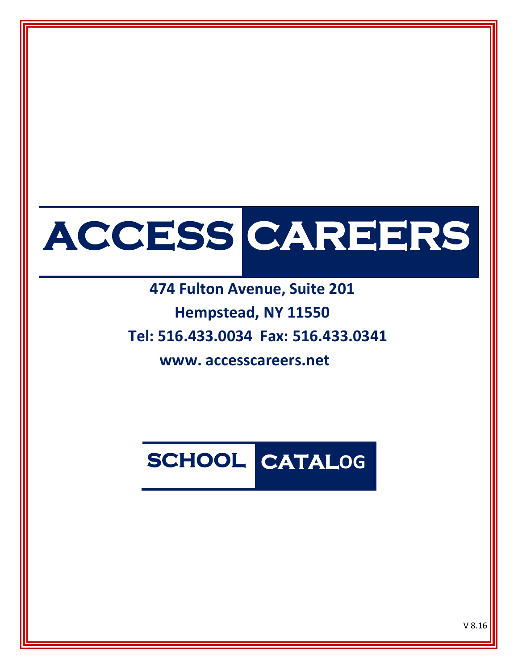# **ACCESS CAREERS**

 **474 Fulton Avenue, Suite 201 Hempstead, NY 11550 Tel: 516.433.0034 Fax: 516.433.0341**

 **www. accesscareers.net**

# **SCHOOL CATALOG**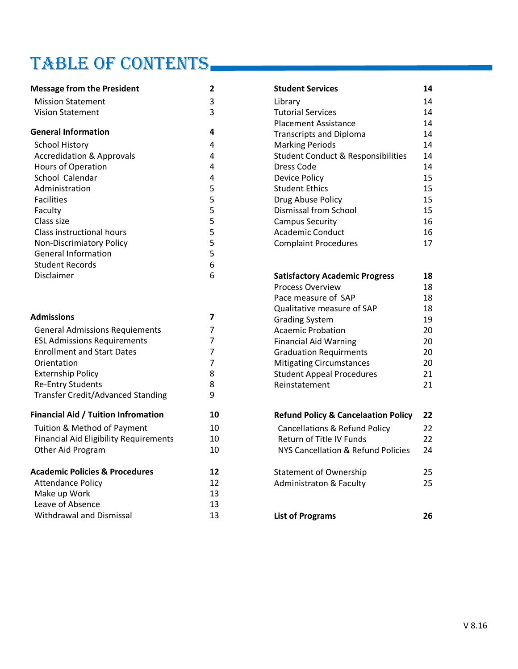# TABLE OF CONTENTS

| <b>Message from the President</b>             | $\overline{\mathbf{2}}$ | <b>Student Services</b>                        | 14 |
|-----------------------------------------------|-------------------------|------------------------------------------------|----|
| <b>Mission Statement</b>                      | 3                       | Library                                        | 14 |
| <b>Vision Statement</b>                       | 3                       | <b>Tutorial Services</b>                       | 14 |
|                                               |                         | <b>Placement Assistance</b>                    | 14 |
| <b>General Information</b>                    | 4                       | <b>Transcripts and Diploma</b>                 | 14 |
| <b>School History</b>                         | 4                       | <b>Marking Periods</b>                         | 14 |
| <b>Accredidation &amp; Approvals</b>          | 4                       | <b>Student Conduct &amp; Responsibilities</b>  | 14 |
| Hours of Operation                            | 4                       | Dress Code                                     | 14 |
| School Calendar                               | 4                       | <b>Device Policy</b>                           | 15 |
| Administration                                | 5                       | <b>Student Ethics</b>                          | 15 |
| <b>Facilities</b>                             | 5                       | Drug Abuse Policy                              | 15 |
| Faculty                                       | 5                       | Dismissal from School                          | 15 |
| Class size                                    | 5                       | <b>Campus Security</b>                         | 16 |
| Class instructional hours                     | 5                       | <b>Academic Conduct</b>                        | 16 |
| <b>Non-Discrimiatory Policy</b>               | 5                       | <b>Complaint Procedures</b>                    | 17 |
| <b>General Information</b>                    | 5                       |                                                |    |
| <b>Student Records</b>                        | 6                       |                                                |    |
| Disclaimer                                    | 6                       | <b>Satisfactory Academic Progress</b>          | 18 |
|                                               |                         | Process Overview                               | 18 |
|                                               |                         | Pace measure of SAP                            | 18 |
|                                               |                         | Qualitative measure of SAP                     | 18 |
| <b>Admissions</b>                             | $\overline{ }$          | <b>Grading System</b>                          | 19 |
| <b>General Admissions Requiements</b>         | $\overline{7}$          | <b>Acaemic Probation</b>                       | 20 |
| <b>ESL Admissions Requirements</b>            | $\overline{7}$          | <b>Financial Aid Warning</b>                   | 20 |
| <b>Enrollment and Start Dates</b>             | $\overline{7}$          | <b>Graduation Requirments</b>                  | 20 |
| Orientation                                   | $\overline{7}$          | <b>Mitigating Circumstances</b>                | 20 |
| <b>Externship Policy</b>                      | 8                       | <b>Student Appeal Procedures</b>               | 21 |
| <b>Re-Entry Students</b>                      | 8                       | Reinstatement                                  | 21 |
| <b>Transfer Credit/Advanced Standing</b>      | 9                       |                                                |    |
| <b>Financial Aid / Tuition Infromation</b>    | 10                      | <b>Refund Policy &amp; Cancelaation Policy</b> | 22 |
| Tuition & Method of Payment                   | 10                      | <b>Cancellations &amp; Refund Policy</b>       | 22 |
| <b>Financial Aid Eligibility Requirements</b> | 10                      | Return of Title IV Funds                       | 22 |
| Other Aid Program                             | 10                      | NYS Cancellation & Refund Policies             | 24 |
| <b>Academic Policies &amp; Procedures</b>     | 12                      | <b>Statement of Ownership</b>                  | 25 |
| <b>Attendance Policy</b>                      | 12                      | <b>Administraton &amp; Faculty</b>             | 25 |
| Make up Work                                  | 13                      |                                                |    |
| Leave of Absence                              | 13                      |                                                |    |
| <b>Withdrawal and Dismissal</b>               | 13                      | <b>List of Programs</b>                        | 26 |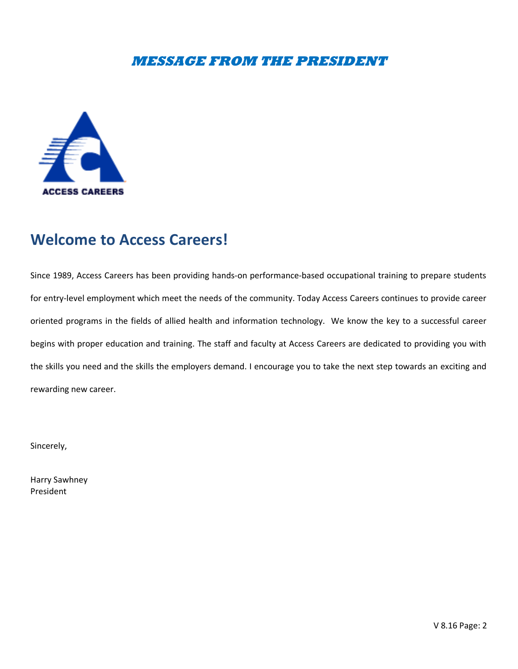### **MESSAGE FROM THE PRESIDENT**



# **Welcome to Access Careers!**

Since 1989, Access Careers has been providing hands-on performance-based occupational training to prepare students for entry-level employment which meet the needs of the community. Today Access Careers continues to provide career oriented programs in the fields of allied health and information technology. We know the key to a successful career begins with proper education and training. The staff and faculty at Access Careers are dedicated to providing you with the skills you need and the skills the employers demand. I encourage you to take the next step towards an exciting and rewarding new career.

Sincerely,

Harry Sawhney President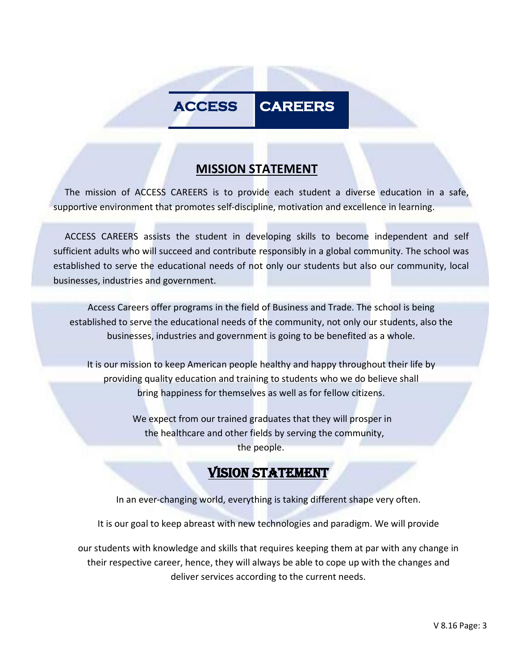# **ACCESS CAREERS**

# **MISSION STATEMENT**

 The mission of ACCESS CAREERS is to provide each student a diverse education in a safe, supportive environment that promotes self-discipline, motivation and excellence in learning.

 ACCESS CAREERS assists the student in developing skills to become independent and self sufficient adults who will succeed and contribute responsibly in a global community. The school was established to serve the educational needs of not only our students but also our community, local businesses, industries and government.

Access Careers offer programs in the field of Business and Trade. The school is being established to serve the educational needs of the community, not only our students, also the businesses, industries and government is going to be benefited as a whole.

It is our mission to keep American people healthy and happy throughout their life by providing quality education and training to students who we do believe shall bring happiness for themselves as well as for fellow citizens.

> We expect from our trained graduates that they will prosper in the healthcare and other fields by serving the community, the people.

# VISION STATEMENT

In an ever-changing world, everything is taking different shape very often.

It is our goal to keep abreast with new technologies and paradigm. We will provide

our students with knowledge and skills that requires keeping them at par with any change in their respective career, hence, they will always be able to cope up with the changes and deliver services according to the current needs.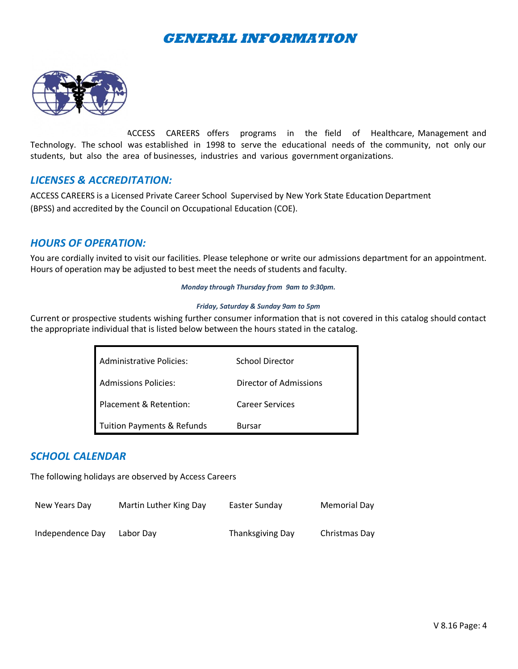# **GENERAL INFORMATION**



ACCESS CAREERS offers programs in the field of Healthcare, Management and Technology. The school was established in 1998 to serve the educational needs of the community, not only our students, but also the area of businesses, industries and various government organizations.

#### *LICENSES & ACCREDITATION:*

ACCESS CAREERS is a Licensed Private Career School Supervised by New York State Education Department (BPSS) and accredited by the Council on Occupational Education (COE).

#### *HOURS OF OPERATION:*

You are cordially invited to visit our facilities. Please telephone or write our admissions department for an appointment. Hours of operation may be adjusted to best meet the needs of students and faculty.

#### *Monday through Thursday from 9am to 9:30pm.*

#### *Friday, Saturday & Sunday 9am to 5pm*

Current or prospective students wishing further consumer information that is not covered in this catalog should contact the appropriate individual that is listed below between the hours stated in the catalog.

| <b>Administrative Policies:</b>       | School Director        |
|---------------------------------------|------------------------|
| <b>Admissions Policies:</b>           | Director of Admissions |
| Placement & Retention:                | <b>Career Services</b> |
| <b>Tuition Payments &amp; Refunds</b> | Bursar                 |

#### *SCHOOL CALENDAR*

The following holidays are observed by Access Careers

| New Years Day    | Martin Luther King Day | Easter Sunday    | Memorial Day  |
|------------------|------------------------|------------------|---------------|
| Independence Day | Labor Day              | Thanksgiving Day | Christmas Day |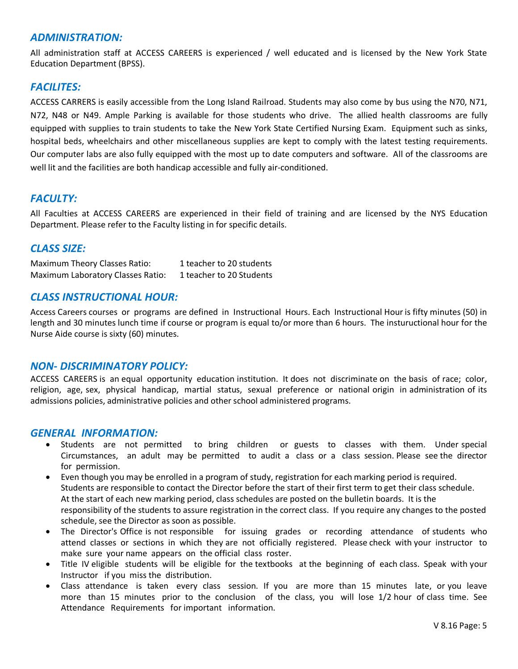#### *ADMINISTRATION:*

All administration staff at ACCESS CAREERS is experienced / well educated and is licensed by the New York State Education Department (BPSS).

#### *FACILITES:*

ACCESS CARRERS is easily accessible from the Long Island Railroad. Students may also come by bus using the N70, N71, N72, N48 or N49. Ample Parking is available for those students who drive. The allied health classrooms are fully equipped with supplies to train students to take the New York State Certified Nursing Exam. Equipment such as sinks, hospital beds, wheelchairs and other miscellaneous supplies are kept to comply with the latest testing requirements. Our computer labs are also fully equipped with the most up to date computers and software. All of the classrooms are well lit and the facilities are both handicap accessible and fully air-conditioned.

#### *FACULTY:*

All Faculties at ACCESS CAREERS are experienced in their field of training and are licensed by the NYS Education Department. Please refer to the Faculty listing in for specific details.

#### *CLASS SIZE:*

Maximum Theory Classes Ratio: 1 teacher to 20 students Maximum Laboratory Classes Ratio: 1 teacher to 20 Students

#### *CLASS INSTRUCTIONAL HOUR:*

Access Careers courses or programs are defined in Instructional Hours. Each Instructional Houris fifty minutes (50) in length and 30 minutes lunch time if course or program is equal to/or more than 6 hours. The instuructional hour for the Nurse Aide course is sixty (60) minutes.

#### *NON- DISCRIMINATORY POLICY:*

ACCESS CAREERS is an equal opportunity education institution. It does not discriminate on the basis of race; color, religion, age, sex, physical handicap, martial status, sexual preference or national origin in administration of its admissions policies, administrative policies and other school administered programs.

#### *GENERAL INFORMATION:*

- Students are not permitted to bring children or guests to classes with them. Under special Circumstances, an adult may be permitted to audit a class or a class session. Please see the director for permission.
- Even though you may be enrolled in a program of study, registration for each marking period is required. Students are responsible to contact the Director before the start of their first term to get their class schedule. At the start of each new marking period, class schedules are posted on the bulletin boards. It is the responsibility of the students to assure registration in the correct class. If you require any changes to the posted schedule, see the Director as soon as possible.
- The Director's Office is not responsible for issuing grades or recording attendance of students who attend classes or sections in which they are not officially registered. Please check with your instructor to make sure your name appears on the official class roster.
- Title IV eligible students will be eligible for the textbooks at the beginning of each class. Speak with your Instructor if you miss the distribution.
- Class attendance is taken every class session. If you are more than 15 minutes late, or you leave more than 15 minutes prior to the conclusion of the class, you will lose 1/2 hour of class time. See Attendance Requirements for important information.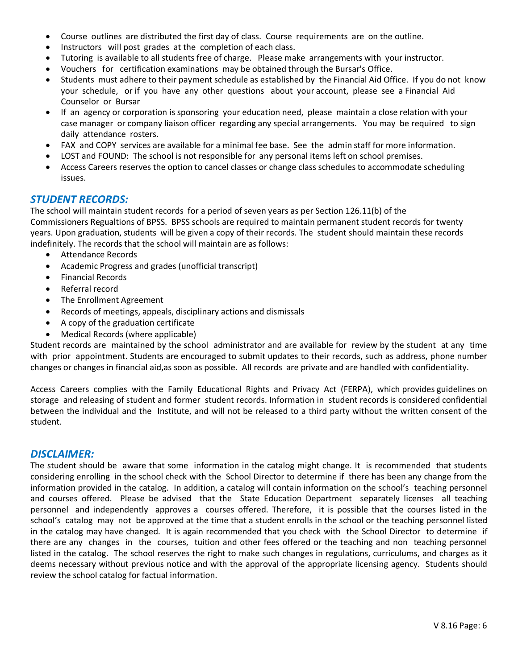- Course outlines are distributed the first day of class. Course requirements are on the outline.
- Instructors will post grades at the completion of each class.
- Tutoring is available to all students free of charge. Please make arrangements with your instructor.
- Vouchers for certification examinations may be obtained through the Bursar's Office.
- Students must adhere to their payment schedule as established by the Financial Aid Office. If you do not know your schedule, or if you have any other questions about your account, please see a Financial Aid Counselor or Bursar
- If an agency or corporation is sponsoring your education need, please maintain a close relation with your case manager or company liaison officer regarding any special arrangements. You may be required to sign daily attendance rosters.
- FAX and COPY services are available for a minimal fee base. See the admin staff for more information.
- LOST and FOUND: The school is not responsible for any personal items left on school premises.
- Access Careers reserves the option to cancel classes or change class schedules to accommodate scheduling issues.

#### *STUDENT RECORDS:*

The school will maintain student records for a period of seven years as per Section 126.11(b) of the Commissioners Regualtions of BPSS. BPSS schools are required to maintain permanent student records for twenty years. Upon graduation, students will be given a copy of their records. The student should maintain these records indefinitely. The records that the school will maintain are as follows:

- Attendance Records
- Academic Progress and grades (unofficial transcript)
- Financial Records
- Referral record
- The Enrollment Agreement
- Records of meetings, appeals, disciplinary actions and dismissals
- A copy of the graduation certificate
- Medical Records (where applicable)

Student records are maintained by the school administrator and are available for review by the student at any time with prior appointment. Students are encouraged to submit updates to their records, such as address, phone number changes or changes in financial aid,as soon as possible. All records are private and are handled with confidentiality.

Access Careers complies with the Family Educational Rights and Privacy Act (FERPA), which provides guidelines on storage and releasing of student and former student records. Information in student records is considered confidential between the individual and the Institute, and will not be released to a third party without the written consent of the student.

#### *DISCLAIMER:*

The student should be aware that some information in the catalog might change. It is recommended that students considering enrolling in the school check with the School Director to determine if there has been any change from the information provided in the catalog. In addition, a catalog will contain information on the school's teaching personnel and courses offered. Please be advised that the State Education Department separately licenses all teaching personnel and independently approves a courses offered. Therefore, it is possible that the courses listed in the school's catalog may not be approved at the time that a student enrolls in the school or the teaching personnel listed in the catalog may have changed. It is again recommended that you check with the School Director to determine if there are any changes in the courses, tuition and other fees offered or the teaching and non teaching personnel listed in the catalog. The school reserves the right to make such changes in regulations, curriculums, and charges as it deems necessary without previous notice and with the approval of the appropriate licensing agency. Students should review the school catalog for factual information.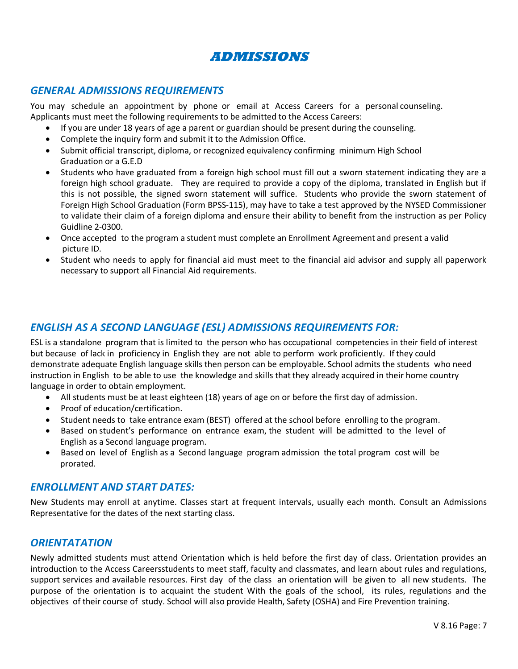

#### *GENERAL ADMISSIONS REQUIREMENTS*

You may schedule an appointment by phone or email at Access Careers for a personal counseling. Applicants must meet the following requirements to be admitted to the Access Careers:

- If you are under 18 years of age a parent or guardian should be present during the counseling.
- Complete the inquiry form and submit it to the Admission Office.
- Submit official transcript, diploma, or recognized equivalency confirming minimum High School Graduation or a G.E.D
- Students who have graduated from a foreign high school must fill out a sworn statement indicating they are a foreign high school graduate. They are required to provide a copy of the diploma, translated in English but if this is not possible, the signed sworn statement will suffice. Students who provide the sworn statement of Foreign High School Graduation (Form BPSS-115), may have to take a test approved by the NYSED Commissioner to validate their claim of a foreign diploma and ensure their ability to benefit from the instruction as per Policy Guidline 2-0300.
- Once accepted to the program a student must complete an Enrollment Agreement and present a valid picture ID.
- Student who needs to apply for financial aid must meet to the financial aid advisor and supply all paperwork necessary to support all Financial Aid requirements.

#### *ENGLISH AS A SECOND LANGUAGE (ESL) ADMISSIONS REQUIREMENTS FOR:*

ESL is a standalone program that is limited to the person who has occupational competencies in their field of interest but because of lack in proficiency in English they are not able to perform work proficiently. If they could demonstrate adequate English language skills then person can be employable. School admits the students who need instruction in English to be able to use the knowledge and skills that they already acquired in their home country language in order to obtain employment.

- All students must be at least eighteen (18) years of age on or before the first day of admission.
- Proof of education/certification.
- Student needs to take entrance exam (BEST) offered at the school before enrolling to the program.
- Based on student's performance on entrance exam, the student will be admitted to the level of English as a Second language program.
- Based on level of English as a Second language program admission the total program cost will be prorated.

#### *ENROLLMENT AND START DATES:*

New Students may enroll at anytime. Classes start at frequent intervals, usually each month. Consult an Admissions Representative for the dates of the next starting class.

#### *ORIENTATATION*

Newly admitted students must attend Orientation which is held before the first day of class. Orientation provides an introduction to the Access Careersstudents to meet staff, faculty and classmates, and learn about rules and regulations, support services and available resources. First day of the class an orientation will be given to all new students. The purpose of the orientation is to acquaint the student With the goals of the school, its rules, regulations and the objectives of their course of study. School will also provide Health, Safety (OSHA) and Fire Prevention training.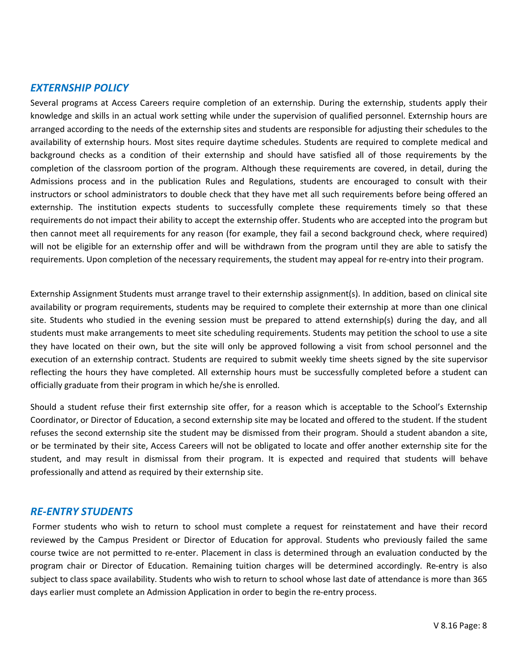#### *EXTERNSHIP POLICY*

Several programs at Access Careers require completion of an externship. During the externship, students apply their knowledge and skills in an actual work setting while under the supervision of qualified personnel. Externship hours are arranged according to the needs of the externship sites and students are responsible for adjusting their schedules to the availability of externship hours. Most sites require daytime schedules. Students are required to complete medical and background checks as a condition of their externship and should have satisfied all of those requirements by the completion of the classroom portion of the program. Although these requirements are covered, in detail, during the Admissions process and in the publication Rules and Regulations, students are encouraged to consult with their instructors or school administrators to double check that they have met all such requirements before being offered an externship. The institution expects students to successfully complete these requirements timely so that these requirements do not impact their ability to accept the externship offer. Students who are accepted into the program but then cannot meet all requirements for any reason (for example, they fail a second background check, where required) will not be eligible for an externship offer and will be withdrawn from the program until they are able to satisfy the requirements. Upon completion of the necessary requirements, the student may appeal for re-entry into their program.

Externship Assignment Students must arrange travel to their externship assignment(s). In addition, based on clinical site availability or program requirements, students may be required to complete their externship at more than one clinical site. Students who studied in the evening session must be prepared to attend externship(s) during the day, and all students must make arrangements to meet site scheduling requirements. Students may petition the school to use a site they have located on their own, but the site will only be approved following a visit from school personnel and the execution of an externship contract. Students are required to submit weekly time sheets signed by the site supervisor reflecting the hours they have completed. All externship hours must be successfully completed before a student can officially graduate from their program in which he/she is enrolled.

Should a student refuse their first externship site offer, for a reason which is acceptable to the School's Externship Coordinator, or Director of Education, a second externship site may be located and offered to the student. If the student refuses the second externship site the student may be dismissed from their program. Should a student abandon a site, or be terminated by their site, Access Careers will not be obligated to locate and offer another externship site for the student, and may result in dismissal from their program. It is expected and required that students will behave professionally and attend as required by their externship site.

#### *RE-ENTRY STUDENTS*

Former students who wish to return to school must complete a request for reinstatement and have their record reviewed by the Campus President or Director of Education for approval. Students who previously failed the same course twice are not permitted to re-enter. Placement in class is determined through an evaluation conducted by the program chair or Director of Education. Remaining tuition charges will be determined accordingly. Re-entry is also subject to class space availability. Students who wish to return to school whose last date of attendance is more than 365 days earlier must complete an Admission Application in order to begin the re-entry process.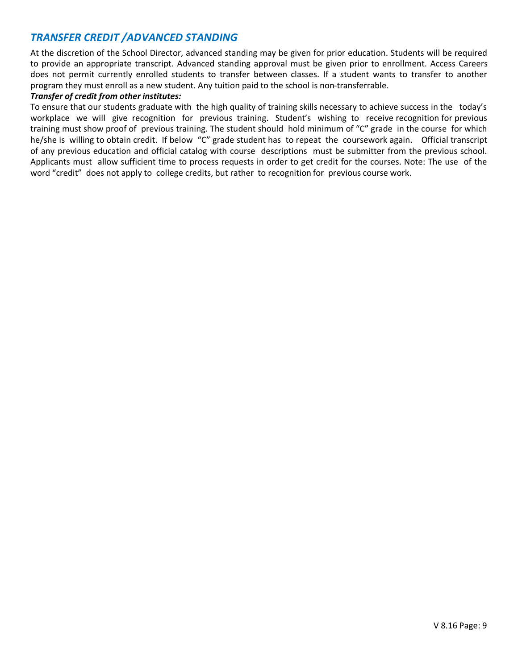#### *TRANSFER CREDIT /ADVANCED STANDING*

At the discretion of the School Director, advanced standing may be given for prior education. Students will be required to provide an appropriate transcript. Advanced standing approval must be given prior to enrollment. Access Careers does not permit currently enrolled students to transfer between classes. If a student wants to transfer to another program they must enroll as a new student. Any tuition paid to the school is non-transferrable.

#### *Transfer of credit from other institutes:*

To ensure that our students graduate with the high quality of training skills necessary to achieve success in the today's workplace we will give recognition for previous training. Student's wishing to receive recognition for previous training must show proof of previous training. The student should hold minimum of "C" grade in the course for which he/she is willing to obtain credit. If below "C" grade student has to repeat the coursework again. Official transcript of any previous education and official catalog with course descriptions must be submitter from the previous school. Applicants must allow sufficient time to process requests in order to get credit for the courses. Note: The use of the word "credit" does not apply to college credits, but rather to recognition for previous course work.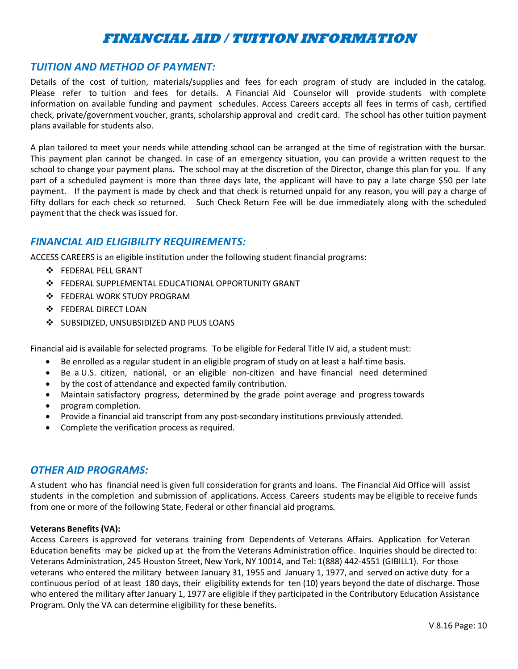# **FINANCIAL AID / TUITION INFORMATION**

#### *TUITION AND METHOD OF PAYMENT:*

Details of the cost of tuition, materials/supplies and fees for each program of study are included in the catalog. Please refer to tuition and fees for details. A Financial Aid Counselor will provide students with complete information on available funding and payment schedules. Access Careers accepts all fees in terms of cash, certified check, private/government voucher, grants, scholarship approval and credit card. The school has other tuition payment plans available for students also.

A plan tailored to meet your needs while attending school can be arranged at the time of registration with the bursar. This payment plan cannot be changed. In case of an emergency situation, you can provide a written request to the school to change your payment plans. The school may at the discretion of the Director, change this plan for you. If any part of a scheduled payment is more than three days late, the applicant will have to pay a late charge \$50 per late payment. If the payment is made by check and that check is returned unpaid for any reason, you will pay a charge of fifty dollars for each check so returned. Such Check Return Fee will be due immediately along with the scheduled payment that the check was issued for.

#### *FINANCIAL AID ELIGIBILITY REQUIREMENTS:*

ACCESS CAREERS is an eligible institution under the following student financial programs:

- FEDERAL PELL GRANT
- $\div$  FEDERAL SUPPLEMENTAL EDUCATIONAL OPPORTUNITY GRANT
- FEDERAL WORK STUDY PROGRAM
- **❖ FEDERAL DIRECT LOAN**
- ❖ SUBSIDIZED, UNSUBSIDIZED AND PLUS LOANS

Financial aid is available for selected programs. To be eligible for Federal Title IV aid, a student must:

- Be enrolled as a regular student in an eligible program of study on at least a half-time basis.
- Be a U.S. citizen, national, or an eligible non-citizen and have financial need determined
- by the cost of attendance and expected family contribution.
- Maintain satisfactory progress, determined by the grade point average and progress towards
- program completion.
- Provide a financial aid transcript from any post-secondary institutions previously attended.
- Complete the verification process as required.

#### *OTHER AID PROGRAMS:*

A student who has financial need is given full consideration for grants and loans. The Financial Aid Office will assist students in the completion and submission of applications. Access Careers students may be eligible to receive funds from one or more of the following State, Federal or other financial aid programs.

#### **Veterans Benefits (VA):**

Access Careers is approved for veterans training from Dependents of Veterans Affairs. Application for Veteran Education benefits may be picked up at the from the Veterans Administration office. Inquiries should be directed to: Veterans Administration, 245 Houston Street, New York, NY 10014, and Tel: 1(888) 442-4551 (GIBILL1). For those veterans who entered the military between January 31, 1955 and January 1, 1977, and served on active duty for a continuous period of at least 180 days, their eligibility extends for ten (10) years beyond the date of discharge. Those who entered the military after January 1, 1977 are eligible if they participated in the Contributory Education Assistance Program. Only the VA can determine eligibility for these benefits.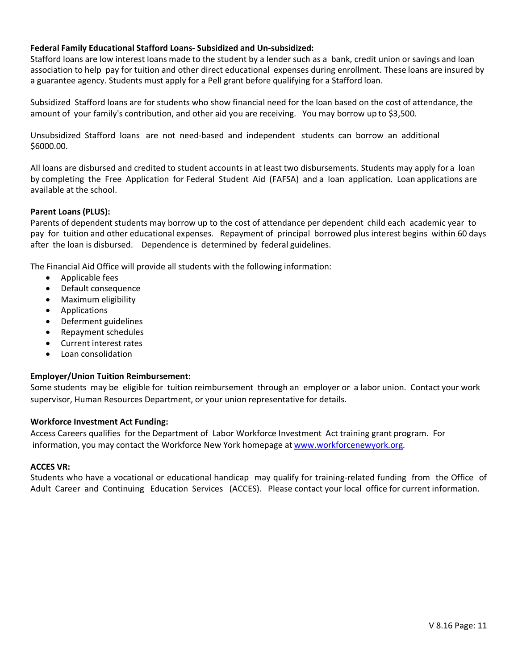#### **Federal Family Educational Stafford Loans- Subsidized and Un-subsidized:**

Stafford loans are low interest loans made to the student by a lender such as a bank, credit union or savings and loan association to help pay for tuition and other direct educational expenses during enrollment. These loans are insured by a guarantee agency. Students must apply for a Pell grant before qualifying for a Stafford loan.

Subsidized Stafford loans are for students who show financial need for the loan based on the cost of attendance, the amount of your family's contribution, and other aid you are receiving. You may borrow up to \$3,500.

Unsubsidized Stafford loans are not need-based and independent students can borrow an additional \$6000.00.

All loans are disbursed and credited to student accounts in at least two disbursements. Students may apply for a loan by completing the Free Application for Federal Student Aid (FAFSA) and a loan application. Loan applications are available at the school.

#### **Parent Loans (PLUS):**

Parents of dependent students may borrow up to the cost of attendance per dependent child each academic year to pay for tuition and other educational expenses. Repayment of principal borrowed plus interest begins within 60 days after the loan is disbursed. Dependence is determined by federal guidelines.

The Financial Aid Office will provide all students with the following information:

- Applicable fees
- Default consequence
- Maximum eligibility
- Applications
- Deferment guidelines
- Repayment schedules
- Current interest rates
- Loan consolidation

#### **Employer/Union Tuition Reimbursement:**

Some students may be eligible for tuition reimbursement through an employer or a labor union. Contact your work supervisor, Human Resources Department, or your union representative for details.

#### **Workforce Investment Act Funding:**

Access Careers qualifies for the Department of Labor Workforce Investment Act training grant program. For information, you may contact the Workforce New York homepage at www.workforcenewyork.org.

#### **ACCES VR:**

Students who have a vocational or educational handicap may qualify for training-related funding from the Office of Adult Career and Continuing Education Services (ACCES). Please contact your local office for current information.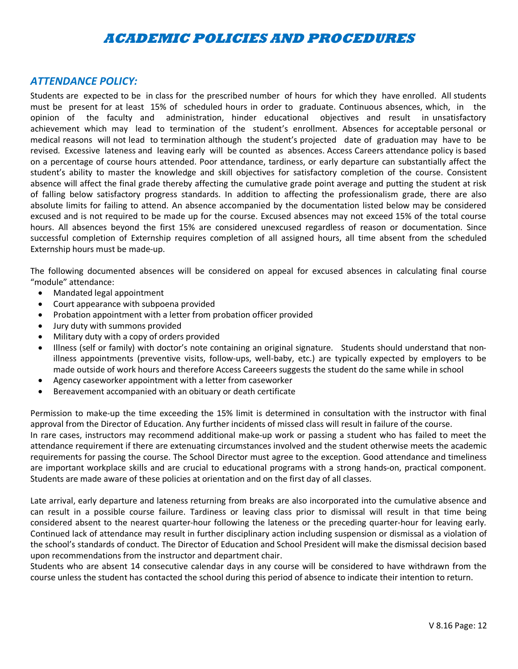## **ACADEMIC POLICIES AND PROCEDURES**

#### *ATTENDANCE POLICY:*

Students are expected to be in class for the prescribed number of hours for which they have enrolled. All students must be present for at least 15% of scheduled hours in order to graduate. Continuous absences, which, in the opinion of the faculty and administration, hinder educational objectives and result in unsatisfactory achievement which may lead to termination of the student's enrollment. Absences for acceptable personal or medical reasons will not lead to termination although the student's projected date of graduation may have to be revised. Excessive lateness and leaving early will be counted as absences. Access Careers attendance policy is based on a percentage of course hours attended. Poor attendance, tardiness, or early departure can substantially affect the student's ability to master the knowledge and skill objectives for satisfactory completion of the course. Consistent absence will affect the final grade thereby affecting the cumulative grade point average and putting the student at risk of falling below satisfactory progress standards. In addition to affecting the professionalism grade, there are also absolute limits for failing to attend. An absence accompanied by the documentation listed below may be considered excused and is not required to be made up for the course. Excused absences may not exceed 15% of the total course hours. All absences beyond the first 15% are considered unexcused regardless of reason or documentation. Since successful completion of Externship requires completion of all assigned hours, all time absent from the scheduled Externship hours must be made-up.

The following documented absences will be considered on appeal for excused absences in calculating final course "module" attendance:

- Mandated legal appointment
- Court appearance with subpoena provided
- Probation appointment with a letter from probation officer provided
- Jury duty with summons provided
- Military duty with a copy of orders provided
- Illness (self or family) with doctor's note containing an original signature. Students should understand that nonillness appointments (preventive visits, follow-ups, well-baby, etc.) are typically expected by employers to be made outside of work hours and therefore Access Careeers suggests the student do the same while in school
- Agency caseworker appointment with a letter from caseworker
- Bereavement accompanied with an obituary or death certificate

Permission to make-up the time exceeding the 15% limit is determined in consultation with the instructor with final approval from the Director of Education. Any further incidents of missed class will result in failure of the course.

In rare cases, instructors may recommend additional make-up work or passing a student who has failed to meet the attendance requirement if there are extenuating circumstances involved and the student otherwise meets the academic requirements for passing the course. The School Director must agree to the exception. Good attendance and timeliness are important workplace skills and are crucial to educational programs with a strong hands-on, practical component. Students are made aware of these policies at orientation and on the first day of all classes.

Late arrival, early departure and lateness returning from breaks are also incorporated into the cumulative absence and can result in a possible course failure. Tardiness or leaving class prior to dismissal will result in that time being considered absent to the nearest quarter-hour following the lateness or the preceding quarter-hour for leaving early. Continued lack of attendance may result in further disciplinary action including suspension or dismissal as a violation of the school's standards of conduct. The Director of Education and School President will make the dismissal decision based upon recommendations from the instructor and department chair.

Students who are absent 14 consecutive calendar days in any course will be considered to have withdrawn from the course unless the student has contacted the school during this period of absence to indicate their intention to return.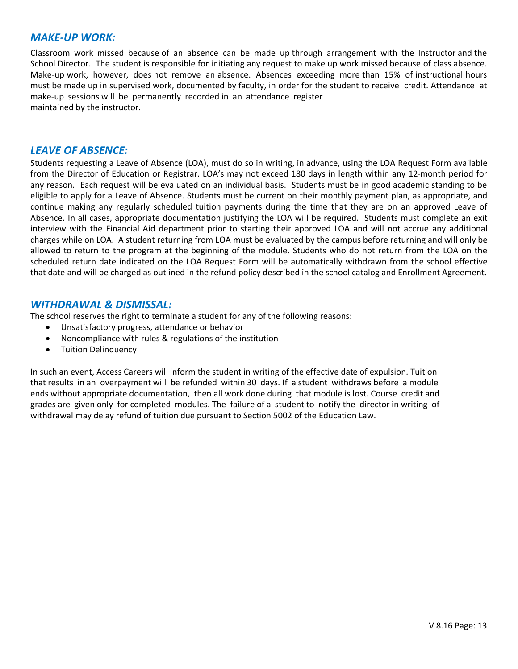#### *MAKE-UP WORK:*

Classroom work missed because of an absence can be made up through arrangement with the Instructor and the School Director. The student is responsible for initiating any request to make up work missed because of class absence. Make-up work, however, does not remove an absence. Absences exceeding more than 15% of instructional hours must be made up in supervised work, documented by faculty, in order for the student to receive credit. Attendance at make-up sessions will be permanently recorded in an attendance register maintained by the instructor.

#### *LEAVE OF ABSENCE:*

Students requesting a Leave of Absence (LOA), must do so in writing, in advance, using the LOA Request Form available from the Director of Education or Registrar. LOA's may not exceed 180 days in length within any 12-month period for any reason. Each request will be evaluated on an individual basis. Students must be in good academic standing to be eligible to apply for a Leave of Absence. Students must be current on their monthly payment plan, as appropriate, and continue making any regularly scheduled tuition payments during the time that they are on an approved Leave of Absence. In all cases, appropriate documentation justifying the LOA will be required. Students must complete an exit interview with the Financial Aid department prior to starting their approved LOA and will not accrue any additional charges while on LOA. A student returning from LOA must be evaluated by the campus before returning and will only be allowed to return to the program at the beginning of the module. Students who do not return from the LOA on the scheduled return date indicated on the LOA Request Form will be automatically withdrawn from the school effective that date and will be charged as outlined in the refund policy described in the school catalog and Enrollment Agreement.

#### *WITHDRAWAL & DISMISSAL:*

The school reserves the right to terminate a student for any of the following reasons:

- Unsatisfactory progress, attendance or behavior
- Noncompliance with rules & regulations of the institution
- **Tuition Delinquency**

In such an event, Access Careers will inform the student in writing of the effective date of expulsion. Tuition that results in an overpayment will be refunded within 30 days. If a student withdraws before a module ends without appropriate documentation, then all work done during that module is lost. Course credit and grades are given only for completed modules. The failure of a student to notify the director in writing of withdrawal may delay refund of tuition due pursuant to Section 5002 of the Education Law.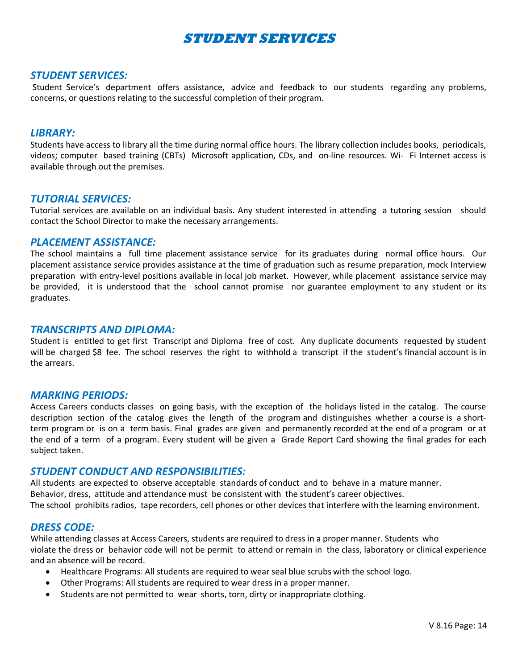# **STUDENT SERVICES**

#### *STUDENT SERVICES:*

Student Service's department offers assistance, advice and feedback to our students regarding any problems, concerns, or questions relating to the successful completion of their program.

#### *LIBRARY:*

Students have access to library all the time during normal office hours. The library collection includes books, periodicals, videos; computer based training (CBTs) Microsoft application, CDs, and on-line resources. Wi- Fi Internet access is available through out the premises.

#### *TUTORIAL SERVICES:*

Tutorial services are available on an individual basis. Any student interested in attending a tutoring session should contact the School Director to make the necessary arrangements.

#### *PLACEMENT ASSISTANCE:*

The school maintains a full time placement assistance service for its graduates during normal office hours. Our placement assistance service provides assistance at the time of graduation such as resume preparation, mock Interview preparation with entry-level positions available in local job market. However, while placement assistance service may be provided, it is understood that the school cannot promise nor guarantee employment to any student or its graduates.

#### *TRANSCRIPTS AND DIPLOMA:*

Student is entitled to get first Transcript and Diploma free of cost. Any duplicate documents requested by student will be charged \$8 fee. The school reserves the right to withhold a transcript if the student's financial account is in the arrears.

#### *MARKING PERIODS:*

Access Careers conducts classes on going basis, with the exception of the holidays listed in the catalog. The course description section of the catalog gives the length of the program and distinguishes whether a course is a shortterm program or is on a term basis. Final grades are given and permanently recorded at the end of a program or at the end of a term of a program. Every student will be given a Grade Report Card showing the final grades for each subject taken.

#### *STUDENT CONDUCT AND RESPONSIBILITIES:*

All students are expected to observe acceptable standards of conduct and to behave in a mature manner. Behavior, dress, attitude and attendance must be consistent with the student's career objectives. The school prohibits radios, tape recorders, cell phones or other devices that interfere with the learning environment.

#### *DRESS CODE:*

While attending classes at Access Careers, students are required to dress in a proper manner. Students who violate the dress or behavior code will not be permit to attend or remain in the class, laboratory or clinical experience and an absence will be record.

- Healthcare Programs: All students are required to wear seal blue scrubs with the school logo.
- Other Programs: All students are required to wear dress in a proper manner.
- Students are not permitted to wear shorts, torn, dirty or inappropriate clothing.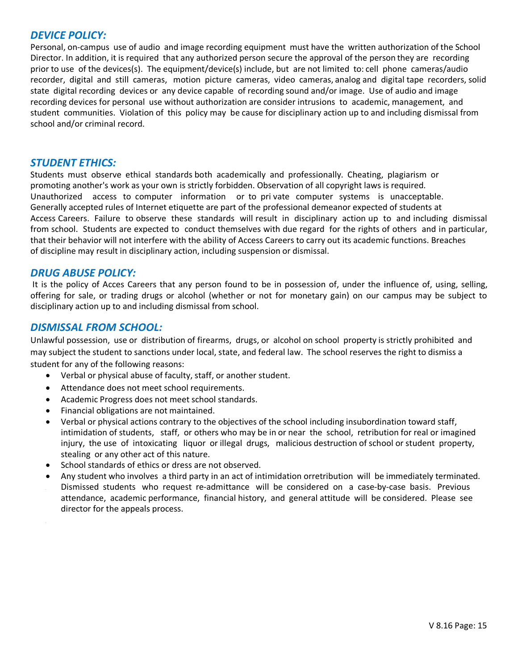#### *DEVICE POLICY:*

Personal, on-campus use of audio and image recording equipment must have the written authorization of the School Director. In addition, it is required that any authorized person secure the approval of the person they are recording prior to use of the devices(s). The equipment/device(s) include, but are not limited to: cell phone cameras/audio recorder, digital and still cameras, motion picture cameras, video cameras, analog and digital tape recorders, solid state digital recording devices or any device capable of recording sound and/or image. Use of audio and image recording devices for personal use without authorization are consider intrusions to academic, management, and student communities. Violation of this policy may be cause for disciplinary action up to and including dismissal from school and/or criminal record.

#### *STUDENT ETHICS:*

Students must observe ethical standards both academically and professionally. Cheating, plagiarism or promoting another's work as your own is strictly forbidden. Observation of all copyright laws is required. Unauthorized access to computer information or to pri vate computer systems is unacceptable. Generally accepted rules of Internet etiquette are part of the professional demeanor expected of students at Access Careers. Failure to observe these standards will result in disciplinary action up to and including dismissal from school. Students are expected to conduct themselves with due regard for the rights of others and in particular, that their behavior will not interfere with the ability of Access Careers to carry out its academic functions. Breaches of discipline may result in disciplinary action, including suspension or dismissal.

#### *DRUG ABUSE POLICY:*

It is the policy of Acces Careers that any person found to be in possession of, under the influence of, using, selling, offering for sale, or trading drugs or alcohol (whether or not for monetary gain) on our campus may be subject to disciplinary action up to and including dismissal from school.

#### *DISMISSAL FROM SCHOOL:*

Unlawful possession, use or distribution of firearms, drugs, or alcohol on school property is strictly prohibited and may subject the student to sanctions under local, state, and federal law. The school reserves the right to dismiss a student for any of the following reasons:

- Verbal or physical abuse of faculty, staff, or another student.
- Attendance does not meet school requirements.
- Academic Progress does not meet school standards.
- Financial obligations are not maintained.
- Verbal or physical actions contrary to the objectives of the school including insubordination toward staff, intimidation of students, staff, or others who may be in or near the school, retribution for real or imagined injury, the use of intoxicating liquor or illegal drugs, malicious destruction of school or student property, stealing or any other act of this nature.
- School standards of ethics or dress are not observed.
- Any student who involves a third party in an act of intimidation orretribution will be immediately terminated. Dismissed students who request re-admittance will be considered on a case-by-case basis. Previous attendance, academic performance, financial history, and general attitude will be considered. Please see director for the appeals process.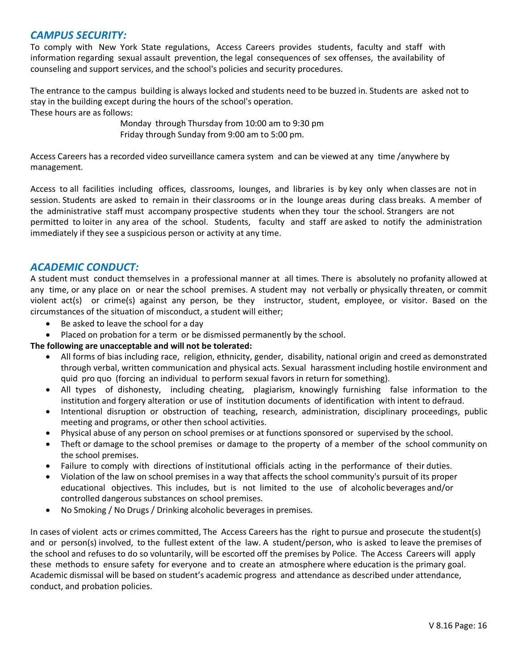#### *CAMPUS SECURITY:*

To comply with New York State regulations, Access Careers provides students, faculty and staff with information regarding sexual assault prevention, the legal consequences of sex offenses, the availability of counseling and support services, and the school's policies and security procedures.

The entrance to the campus building is always locked and students need to be buzzed in. Students are asked not to stay in the building except during the hours of the school's operation. These hours are as follows:

> Monday through Thursday from 10:00 am to 9:30 pm Friday through Sunday from 9:00 am to 5:00 pm.

Access Careers has a recorded video surveillance camera system and can be viewed at any time /anywhere by management.

Access to all facilities including offices, classrooms, lounges, and libraries is by key only when classes are not in session. Students are asked to remain in their classrooms or in the lounge areas during class breaks. A member of the administrative staff must accompany prospective students when they tour the school. Strangers are not permitted to loiter in any area of the school. Students, faculty and staff are asked to notify the administration immediately if they see a suspicious person or activity at any time.

#### *ACADEMIC CONDUCT:*

A student must conduct themselves in a professional manner at all times. There is absolutely no profanity allowed at any time, or any place on or near the school premises. A student may not verbally or physically threaten, or commit violent act(s) or crime(s) against any person, be they instructor, student, employee, or visitor. Based on the circumstances of the situation of misconduct, a student will either;

- Be asked to leave the school for a day
- Placed on probation for a term or be dismissed permanently by the school.

#### **The following are unacceptable and will not be tolerated:**

- All forms of bias including race, religion, ethnicity, gender, disability, national origin and creed as demonstrated through verbal, written communication and physical acts. Sexual harassment including hostile environment and quid pro quo (forcing an individual to perform sexual favors in return for something).
- All types of dishonesty, including cheating, plagiarism, knowingly furnishing false information to the institution and forgery alteration or use of institution documents of identification with intent to defraud.
- Intentional disruption or obstruction of teaching, research, administration, disciplinary proceedings, public meeting and programs, or other then school activities.
- Physical abuse of any person on school premises or at functions sponsored or supervised by the school.
- Theft or damage to the school premises or damage to the property of a member of the school community on the school premises.
- Failure to comply with directions of institutional officials acting in the performance of their duties.
- Violation of the law on school premises in a way that affects the school community's pursuit of its proper educational objectives. This includes, but is not limited to the use of alcoholic beverages and/or controlled dangerous substances on school premises.
- No Smoking / No Drugs / Drinking alcoholic beverages in premises.

In cases of violent acts or crimes committed, The Access Careers has the right to pursue and prosecute the student(s) and or person(s) involved, to the fullest extent of the law. A student/person, who is asked to leave the premises of the school and refuses to do so voluntarily, will be escorted off the premises by Police. The Access Careers will apply these methods to ensure safety for everyone and to create an atmosphere where education is the primary goal. Academic dismissal will be based on student's academic progress and attendance as described under attendance, conduct, and probation policies.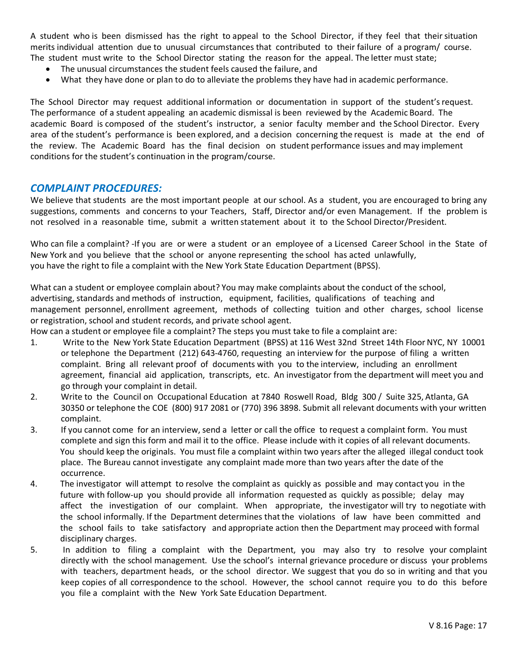A student who is been dismissed has the right to appeal to the School Director, if they feel that theirsituation merits individual attention due to unusual circumstances that contributed to their failure of a program/ course. The student must write to the School Director stating the reason for the appeal. The letter must state;

- The unusual circumstances the student feels caused the failure, and
- What they have done or plan to do to alleviate the problems they have had in academic performance.

The School Director may request additional information or documentation in support of the student's request. The performance of a student appealing an academic dismissal is been reviewed by the Academic Board. The academic Board is composed of the student's instructor, a senior faculty member and the School Director. Every area of the student's performance is been explored, and a decision concerning the request is made at the end of the review. The Academic Board has the final decision on student performance issues and may implement conditions for the student's continuation in the program/course.

#### *COMPLAINT PROCEDURES:*

We believe that students are the most important people at our school. As a student, you are encouraged to bring any suggestions, comments and concerns to your Teachers, Staff, Director and/or even Management. If the problem is not resolved in a reasonable time, submit a written statement about it to the School Director/President.

Who can file a complaint? -If you are or were a student or an employee of a Licensed Career School in the State of New York and you believe that the school or anyone representing the school has acted unlawfully, you have the right to file a complaint with the New York State Education Department (BPSS).

What can a student or employee complain about? You may make complaints about the conduct of the school, advertising, standards and methods of instruction, equipment, facilities, qualifications of teaching and management personnel, enrollment agreement, methods of collecting tuition and other charges, school license or registration, school and student records, and private school agent.

How can a student or employee file a complaint? The steps you must take to file a complaint are:

- 1. Write to the New York State Education Department (BPSS) at 116 West 32nd Street 14th Floor NYC, NY 10001 or telephone the Department (212) 643-4760, requesting an interview for the purpose of filing a written complaint. Bring all relevant proof of documents with you to the interview, including an enrollment agreement, financial aid application, transcripts, etc. An investigator from the department will meet you and go through your complaint in detail.
- 2. Write to the Council on Occupational Education at 7840 Roswell Road, Bldg 300 / Suite 325, Atlanta, GA 30350 or telephone the COE (800) 917 2081 or (770) 396 3898. Submit all relevant documents with your written complaint.
- 3. If you cannot come for an interview, send a letter or call the office to request a complaint form. You must complete and sign this form and mail it to the office. Please include with it copies of all relevant documents. You should keep the originals. You must file a complaint within two years after the alleged illegal conduct took place. The Bureau cannot investigate any complaint made more than two years after the date of the occurrence.
- 4. The investigator will attempt to resolve the complaint as quickly as possible and may contact you in the future with follow-up you should provide all information requested as quickly as possible; delay may affect the investigation of our complaint. When appropriate, the investigator will try to negotiate with the school informally. If the Department determines that the violations of law have been committed and the school fails to take satisfactory and appropriate action then the Department may proceed with formal disciplinary charges.
- 5. In addition to filing a complaint with the Department, you may also try to resolve your complaint directly with the school management. Use the school's internal grievance procedure or discuss your problems with teachers, department heads, or the school director. We suggest that you do so in writing and that you keep copies of all correspondence to the school. However, the school cannot require you to do this before you file a complaint with the New York Sate Education Department.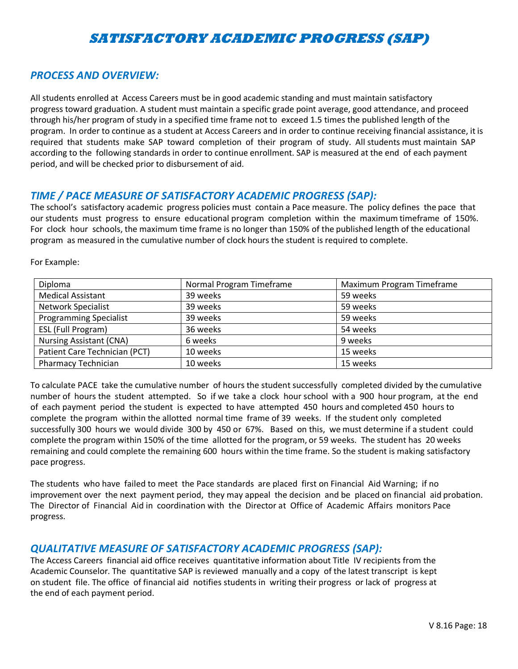# **SATISFACTORY ACADEMIC PROGRESS (SAP)**

#### *PROCESS AND OVERVIEW:*

All students enrolled at Access Careers must be in good academic standing and must maintain satisfactory progress toward graduation. A student must maintain a specific grade point average, good attendance, and proceed through his/her program of study in a specified time frame not to exceed 1.5 times the published length of the program. In order to continue as a student at Access Careers and in order to continue receiving financial assistance, it is required that students make SAP toward completion of their program of study. All students must maintain SAP according to the following standards in order to continue enrollment. SAP is measured at the end of each payment period, and will be checked prior to disbursement of aid.

#### *TIME / PACE MEASURE OF SATISFACTORY ACADEMIC PROGRESS (SAP):*

The school's satisfactory academic progress policies must contain a Pace measure. The policy defines the pace that our students must progress to ensure educational program completion within the maximum timeframe of 150%. For clock hour schools, the maximum time frame is no longer than 150% of the published length of the educational program as measured in the cumulative number of clock hours the student is required to complete.

| Diploma                        | Normal Program Timeframe | Maximum Program Timeframe |
|--------------------------------|--------------------------|---------------------------|
| <b>Medical Assistant</b>       | 39 weeks                 | 59 weeks                  |
| <b>Network Specialist</b>      | 39 weeks                 | 59 weeks                  |
| <b>Programming Specialist</b>  | 39 weeks                 | 59 weeks                  |
| ESL (Full Program)             | 36 weeks                 | 54 weeks                  |
| <b>Nursing Assistant (CNA)</b> | 6 weeks                  | 9 weeks                   |
| Patient Care Technician (PCT)  | 10 weeks                 | 15 weeks                  |
| <b>Pharmacy Technician</b>     | 10 weeks                 | 15 weeks                  |

For Example:

To calculate PACE take the cumulative number of hours the student successfully completed divided by the cumulative number of hours the student attempted. So if we take a clock hour school with a 900 hour program, at the end of each payment period the student is expected to have attempted 450 hours and completed 450 hours to complete the program within the allotted normal time frame of 39 weeks. If the student only completed successfully 300 hours we would divide 300 by 450 or 67%. Based on this, we must determine if a student could complete the program within 150% of the time allotted for the program, or 59 weeks. The student has 20 weeks remaining and could complete the remaining 600 hours within the time frame. So the student is making satisfactory pace progress.

The students who have failed to meet the Pace standards are placed first on Financial Aid Warning; if no improvement over the next payment period, they may appeal the decision and be placed on financial aid probation. The Director of Financial Aid in coordination with the Director at Office of Academic Affairs monitors Pace progress.

#### *QUALITATIVE MEASURE OF SATISFACTORY ACADEMIC PROGRESS (SAP):*

The Access Careers financial aid office receives quantitative information about Title IV recipients from the Academic Counselor. The quantitative SAP is reviewed manually and a copy of the latest transcript is kept on student file. The office of financial aid notifies students in writing their progress or lack of progress at the end of each payment period.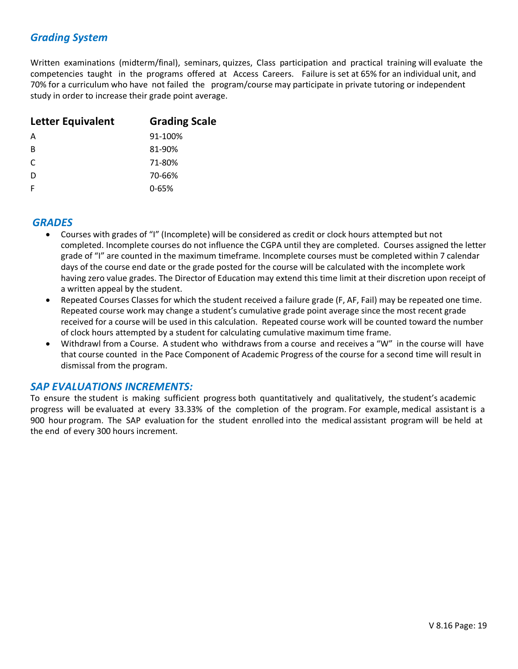#### *Grading System*

Written examinations (midterm/final), seminars, quizzes, Class participation and practical training will evaluate the competencies taught in the programs offered at Access Careers. Failure is set at 65% for an individual unit, and 70% for a curriculum who have not failed the program/course may participate in private tutoring or independent study in order to increase their grade point average.

| Letter Equivalent | <b>Grading Scale</b> |
|-------------------|----------------------|
| A                 | 91-100%              |
| B                 | 81-90%               |
| C                 | 71-80%               |
| D                 | 70-66%               |
| F                 | $0 - 65%$            |

#### *GRADES*

- Courses with grades of "I" (Incomplete) will be considered as credit or clock hours attempted but not completed. Incomplete courses do not influence the CGPA until they are completed. Courses assigned the letter grade of "I" are counted in the maximum timeframe. Incomplete courses must be completed within 7 calendar days of the course end date or the grade posted for the course will be calculated with the incomplete work having zero value grades. The Director of Education may extend this time limit at their discretion upon receipt of a written appeal by the student.
- Repeated Courses Classes for which the student received a failure grade (F, AF, Fail) may be repeated one time. Repeated course work may change a student's cumulative grade point average since the most recent grade received for a course will be used in this calculation. Repeated course work will be counted toward the number of clock hours attempted by a student for calculating cumulative maximum time frame.
- Withdrawl from a Course. A student who withdraws from a course and receives a "W" in the course will have that course counted in the Pace Component of Academic Progress of the course for a second time will result in dismissal from the program.

#### *SAP EVALUATIONS INCREMENTS:*

To ensure the student is making sufficient progress both quantitatively and qualitatively, the student's academic progress will be evaluated at every 33.33% of the completion of the program. For example, medical assistant is a 900 hour program. The SAP evaluation for the student enrolled into the medical assistant program will be held at the end of every 300 hours increment.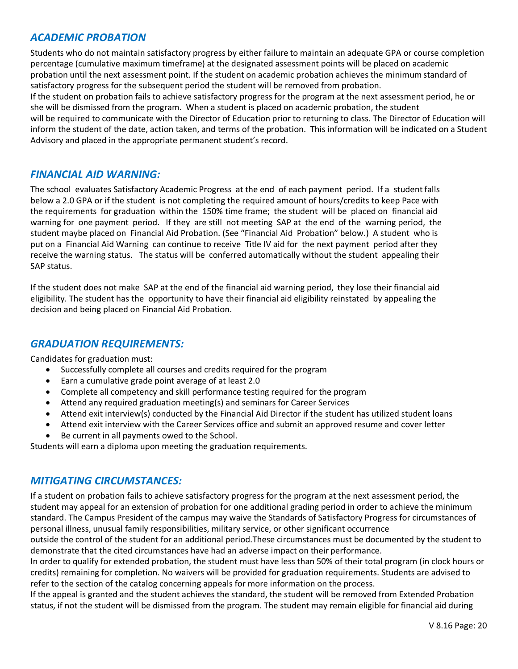#### *ACADEMIC PROBATION*

Students who do not maintain satisfactory progress by either failure to maintain an adequate GPA or course completion percentage (cumulative maximum timeframe) at the designated assessment points will be placed on academic probation until the next assessment point. If the student on academic probation achieves the minimum standard of satisfactory progress for the subsequent period the student will be removed from probation.

If the student on probation fails to achieve satisfactory progress for the program at the next assessment period, he or she will be dismissed from the program. When a student is placed on academic probation, the student

will be required to communicate with the Director of Education prior to returning to class. The Director of Education will inform the student of the date, action taken, and terms of the probation. This information will be indicated on a Student Advisory and placed in the appropriate permanent student's record.

#### *FINANCIAL AID WARNING:*

The school evaluates Satisfactory Academic Progress at the end of each payment period. If a student falls below a 2.0 GPA or if the student is not completing the required amount of hours/credits to keep Pace with the requirements for graduation within the 150% time frame; the student will be placed on financial aid warning for one payment period. If they are still not meeting SAP at the end of the warning period, the student maybe placed on Financial Aid Probation. (See "Financial Aid Probation" below.) A student who is put on a Financial Aid Warning can continue to receive Title IV aid for the next payment period after they receive the warning status. The status will be conferred automatically without the student appealing their SAP status.

If the student does not make SAP at the end of the financial aid warning period, they lose their financial aid eligibility. The student has the opportunity to have their financial aid eligibility reinstated by appealing the decision and being placed on Financial Aid Probation.

#### *GRADUATION REQUIREMENTS:*

Candidates for graduation must:

- Successfully complete all courses and credits required for the program
- Earn a cumulative grade point average of at least 2.0
- Complete all competency and skill performance testing required for the program
- Attend any required graduation meeting(s) and seminars for Career Services
- Attend exit interview(s) conducted by the Financial Aid Director if the student has utilized student loans
- Attend exit interview with the Career Services office and submit an approved resume and cover letter
- Be current in all payments owed to the School.

Students will earn a diploma upon meeting the graduation requirements.

#### *MITIGATING CIRCUMSTANCES:*

If a student on probation fails to achieve satisfactory progress for the program at the next assessment period, the student may appeal for an extension of probation for one additional grading period in order to achieve the minimum standard. The Campus President of the campus may waive the Standards of Satisfactory Progress for circumstances of personal illness, unusual family responsibilities, military service, or other significant occurrence

outside the control of the student for an additional period.These circumstances must be documented by the student to demonstrate that the cited circumstances have had an adverse impact on their performance.

In order to qualify for extended probation, the student must have less than 50% of their total program (in clock hours or credits) remaining for completion. No waivers will be provided for graduation requirements. Students are advised to refer to the section of the catalog concerning appeals for more information on the process.

If the appeal is granted and the student achieves the standard, the student will be removed from Extended Probation status, if not the student will be dismissed from the program. The student may remain eligible for financial aid during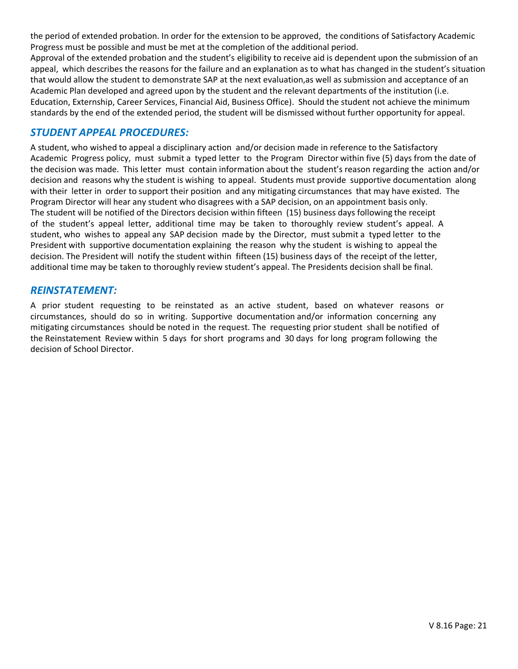the period of extended probation. In order for the extension to be approved, the conditions of Satisfactory Academic Progress must be possible and must be met at the completion of the additional period.

Approval of the extended probation and the student's eligibility to receive aid is dependent upon the submission of an appeal, which describes the reasons for the failure and an explanation as to what has changed in the student's situation that would allow the student to demonstrate SAP at the next evaluation,as well as submission and acceptance of an Academic Plan developed and agreed upon by the student and the relevant departments of the institution (i.e. Education, Externship, Career Services, Financial Aid, Business Office). Should the student not achieve the minimum standards by the end of the extended period, the student will be dismissed without further opportunity for appeal.

#### *STUDENT APPEAL PROCEDURES:*

A student, who wished to appeal a disciplinary action and/or decision made in reference to the Satisfactory Academic Progress policy, must submit a typed letter to the Program Director within five (5) days from the date of the decision was made. This letter must contain information about the student's reason regarding the action and/or decision and reasons why the student is wishing to appeal. Students must provide supportive documentation along with their letter in order to support their position and any mitigating circumstances that may have existed. The Program Director will hear any student who disagrees with a SAP decision, on an appointment basis only. The student will be notified of the Directors decision within fifteen (15) business days following the receipt of the student's appeal letter, additional time may be taken to thoroughly review student's appeal. A student, who wishes to appeal any SAP decision made by the Director, must submit a typed letter to the President with supportive documentation explaining the reason why the student is wishing to appeal the decision. The President will notify the student within fifteen (15) business days of the receipt of the letter, additional time may be taken to thoroughly review student's appeal. The Presidents decision shall be final.

#### *REINSTATEMENT:*

A prior student requesting to be reinstated as an active student, based on whatever reasons or circumstances, should do so in writing. Supportive documentation and/or information concerning any mitigating circumstances should be noted in the request. The requesting prior student shall be notified of the Reinstatement Review within 5 days for short programs and 30 days for long program following the decision of School Director.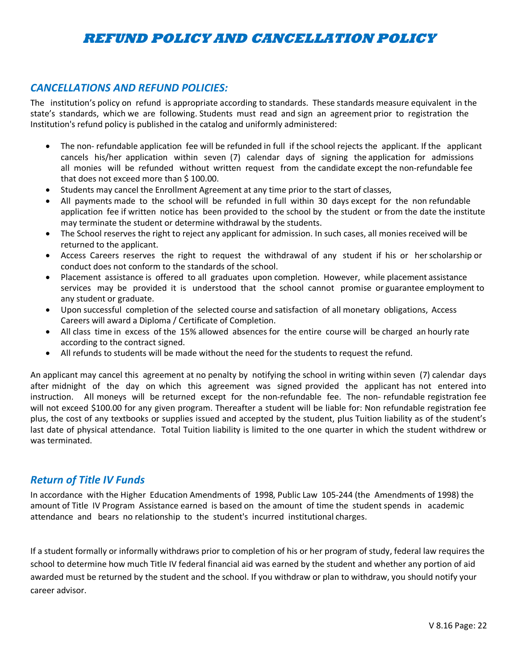# **REFUND POLICY AND CANCELLATION POLICY**

#### *CANCELLATIONS AND REFUND POLICIES:*

The institution's policy on refund is appropriate according to standards. These standards measure equivalent in the state's standards, which we are following. Students must read and sign an agreement prior to registration the Institution's refund policy is published in the catalog and uniformly administered:

- The non- refundable application fee will be refunded in full if the school rejects the applicant. If the applicant cancels his/her application within seven (7) calendar days of signing the application for admissions all monies will be refunded without written request from the candidate except the non-refundable fee that does not exceed more than \$ 100.00.
- Students may cancel the Enrollment Agreement at any time prior to the start of classes,
- All payments made to the school will be refunded in full within 30 days except for the non refundable application fee if written notice has been provided to the school by the student or from the date the institute may terminate the student or determine withdrawal by the students.
- The School reserves the right to reject any applicant for admission. In such cases, all monies received will be returned to the applicant.
- Access Careers reserves the right to request the withdrawal of any student if his or herscholarship or conduct does not conform to the standards of the school.
- Placement assistance is offered to all graduates upon completion. However, while placement assistance services may be provided it is understood that the school cannot promise or guarantee employment to any student or graduate.
- Upon successful completion of the selected course and satisfaction of all monetary obligations, Access Careers will award a Diploma / Certificate of Completion.
- All class time in excess of the 15% allowed absences for the entire course will be charged an hourly rate according to the contract signed.
- All refunds to students will be made without the need for the students to request the refund.

An applicant may cancel this agreement at no penalty by notifying the school in writing within seven (7) calendar days after midnight of the day on which this agreement was signed provided the applicant has not entered into instruction. All moneys will be returned except for the non-refundable fee. The non- refundable registration fee will not exceed \$100.00 for any given program. Thereafter a student will be liable for: Non refundable registration fee plus, the cost of any textbooks or supplies issued and accepted by the student, plus Tuition liability as of the student's last date of physical attendance. Total Tuition liability is limited to the one quarter in which the student withdrew or was terminated.

#### *Return of Title IV Funds*

In accordance with the Higher Education Amendments of 1998, Public Law 105-244 (the Amendments of 1998) the amount of Title IV Program Assistance earned is based on the amount of time the student spends in academic attendance and bears no relationship to the student's incurred institutional charges.

If a student formally or informally withdraws prior to completion of his or her program of study, federal law requires the school to determine how much Title IV federal financial aid was earned by the student and whether any portion of aid awarded must be returned by the student and the school. If you withdraw or plan to withdraw, you should notify your career advisor.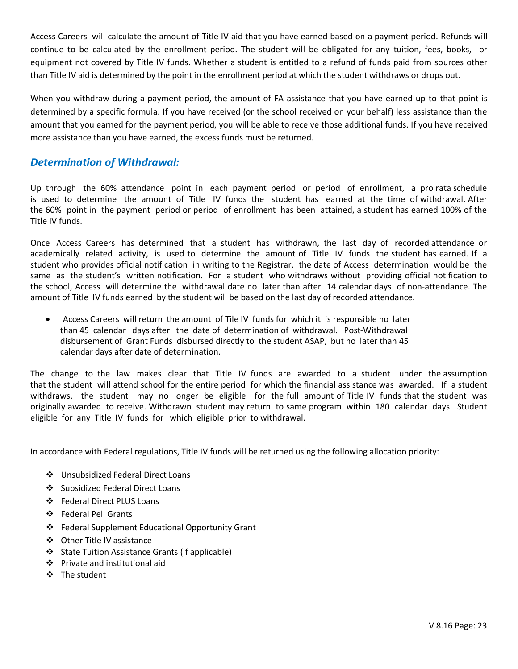Access Careers will calculate the amount of Title IV aid that you have earned based on a payment period. Refunds will continue to be calculated by the enrollment period. The student will be obligated for any tuition, fees, books, or equipment not covered by Title IV funds. Whether a student is entitled to a refund of funds paid from sources other than Title IV aid is determined by the point in the enrollment period at which the student withdraws or drops out.

When you withdraw during a payment period, the amount of FA assistance that you have earned up to that point is determined by a specific formula. If you have received (or the school received on your behalf) less assistance than the amount that you earned for the payment period, you will be able to receive those additional funds. If you have received more assistance than you have earned, the excess funds must be returned.

#### *Determination of Withdrawal:*

Up through the 60% attendance point in each payment period or period of enrollment, a pro rata schedule is used to determine the amount of Title IV funds the student has earned at the time of withdrawal. After the 60% point in the payment period or period of enrollment has been attained, a student has earned 100% of the Title IV funds.

Once Access Careers has determined that a student has withdrawn, the last day of recorded attendance or academically related activity, is used to determine the amount of Title IV funds the student has earned. If a student who provides official notification in writing to the Registrar, the date of Access determination would be the same as the student's written notification. For a student who withdraws without providing official notification to the school, Access will determine the withdrawal date no later than after 14 calendar days of non-attendance. The amount of Title IV funds earned by the student will be based on the last day of recorded attendance.

 Access Careers will return the amount of Tile IV funds for which it is responsible no later than 45 calendar days after the date of determination of withdrawal. Post-Withdrawal disbursement of Grant Funds disbursed directly to the student ASAP, but no later than 45 calendar days after date of determination.

The change to the law makes clear that Title IV funds are awarded to a student under the assumption that the student will attend school for the entire period for which the financial assistance was awarded. If a student withdraws, the student may no longer be eligible for the full amount of Title IV funds that the student was originally awarded to receive. Withdrawn student may return to same program within 180 calendar days. Student eligible for any Title IV funds for which eligible prior to withdrawal.

In accordance with Federal regulations, Title IV funds will be returned using the following allocation priority:

- Unsubsidized Federal Direct Loans
- Subsidized Federal Direct Loans
- Federal Direct PLUS Loans
- Federal Pell Grants
- Federal Supplement Educational Opportunity Grant
- Other Title IV assistance
- ❖ State Tuition Assistance Grants (if applicable)
- Private and institutional aid
- The student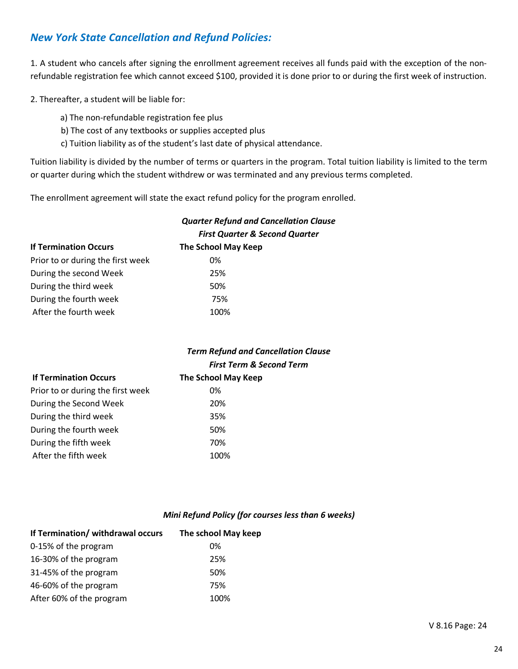#### *New York State Cancellation and Refund Policies:*

1. A student who cancels after signing the enrollment agreement receives all funds paid with the exception of the nonrefundable registration fee which cannot exceed \$100, provided it is done prior to or during the first week of instruction.

2. Thereafter, a student will be liable for:

- a) The non-refundable registration fee plus
- b) The cost of any textbooks or supplies accepted plus
- c) Tuition liability as of the student's last date of physical attendance.

Tuition liability is divided by the number of terms or quarters in the program. Total tuition liability is limited to the term or quarter during which the student withdrew or was terminated and any previous terms completed.

*Quarter Refund and Cancellation Clause*

The enrollment agreement will state the exact refund policy for the program enrolled.

|                                   | <b>First Quarter &amp; Second Quarter</b> |
|-----------------------------------|-------------------------------------------|
| <b>If Termination Occurs</b>      | <b>The School May Keep</b>                |
| Prior to or during the first week | 0%                                        |
| During the second Week            | 25%                                       |
| During the third week             | 50%                                       |
| During the fourth week            | 75%                                       |
| After the fourth week             | 100%                                      |

#### *Term Refund and Cancellation Clause First Term & Second Term*

| <b>If Termination Occurs</b>      | The School May Keep |
|-----------------------------------|---------------------|
| Prior to or during the first week | 0%                  |
| During the Second Week            | 20%                 |
| During the third week             | 35%                 |
| During the fourth week            | 50%                 |
| During the fifth week             | 70%                 |
| After the fifth week              | 100%                |

#### *Mini Refund Policy (for courses less than 6 weeks)*

| If Termination/ withdrawal occurs | The school May keep |
|-----------------------------------|---------------------|
| 0-15% of the program              | 0%                  |
| 16-30% of the program             | 25%                 |
| 31-45% of the program             | 50%                 |
| 46-60% of the program             | 75%                 |
| After 60% of the program          | 100%                |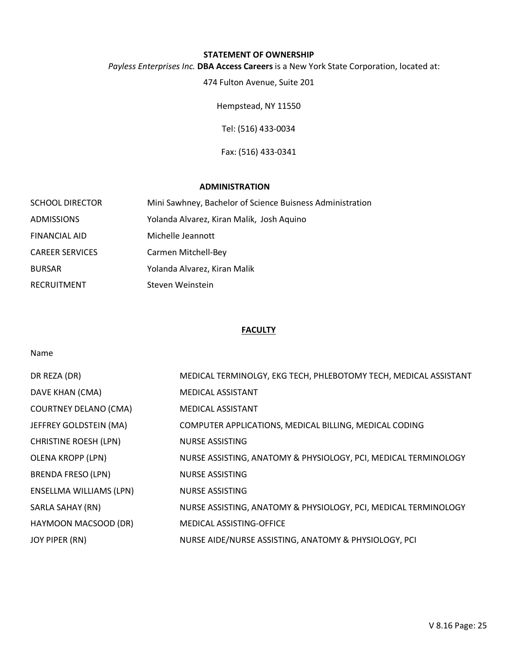#### **STATEMENT OF OWNERSHIP**

#### *Payless Enterprises Inc.* **DBA Access Careers**is a New York State Corporation, located at:

474 Fulton Avenue, Suite 201

Hempstead, NY 11550

Tel: (516) 433-0034

Fax: (516) 433-0341

#### **ADMINISTRATION**

| <b>SCHOOL DIRECTOR</b> | Mini Sawhney, Bachelor of Science Buisness Administration |
|------------------------|-----------------------------------------------------------|
| <b>ADMISSIONS</b>      | Yolanda Alvarez, Kiran Malik, Josh Aguino                 |
| <b>FINANCIAL AID</b>   | Michelle Jeannott                                         |
| <b>CAREER SERVICES</b> | Carmen Mitchell-Bey                                       |
| <b>BURSAR</b>          | Yolanda Alvarez, Kiran Malik                              |
| <b>RECRUITMENT</b>     | Steven Weinstein                                          |

#### **FACULTY**

#### Name

| DR REZA (DR)                   | MEDICAL TERMINOLGY, EKG TECH, PHLEBOTOMY TECH, MEDICAL ASSISTANT |
|--------------------------------|------------------------------------------------------------------|
| DAVE KHAN (CMA)                | <b>MEDICAL ASSISTANT</b>                                         |
| <b>COURTNEY DELANO (CMA)</b>   | <b>MEDICAL ASSISTANT</b>                                         |
| JEFFREY GOLDSTEIN (MA)         | COMPUTER APPLICATIONS, MEDICAL BILLING, MEDICAL CODING           |
| <b>CHRISTINE ROESH (LPN)</b>   | <b>NURSE ASSISTING</b>                                           |
| <b>OLENA KROPP (LPN)</b>       | NURSE ASSISTING, ANATOMY & PHYSIOLOGY, PCI, MEDICAL TERMINOLOGY  |
| <b>BRENDA FRESO (LPN)</b>      | <b>NURSE ASSISTING</b>                                           |
| <b>ENSELLMA WILLIAMS (LPN)</b> | <b>NURSE ASSISTING</b>                                           |
| SARLA SAHAY (RN)               | NURSE ASSISTING, ANATOMY & PHYSIOLOGY, PCI, MEDICAL TERMINOLOGY  |
| HAYMOON MACSOOD (DR)           | <b>MEDICAL ASSISTING-OFFICE</b>                                  |
| JOY PIPER (RN)                 | NURSE AIDE/NURSE ASSISTING, ANATOMY & PHYSIOLOGY, PCI            |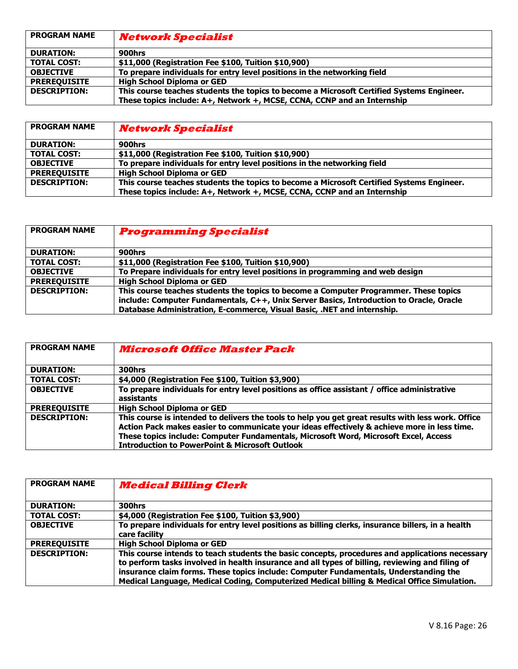| <b>PROGRAM NAME</b> | <b>Network Specialist</b>                                                                 |
|---------------------|-------------------------------------------------------------------------------------------|
| <b>DURATION:</b>    | 900hrs                                                                                    |
| <b>TOTAL COST:</b>  | \$11,000 (Registration Fee \$100, Tuition \$10,900)                                       |
| <b>OBJECTIVE</b>    | To prepare individuals for entry level positions in the networking field                  |
| <b>PREREQUISITE</b> | <b>High School Diploma or GED</b>                                                         |
| <b>DESCRIPTION:</b> | This course teaches students the topics to become a Microsoft Certified Systems Engineer. |
|                     | These topics include: A+, Network +, MCSE, CCNA, CCNP and an Internship                   |

| <b>PROGRAM NAME</b> | <b>Network Specialist</b>                                                                 |
|---------------------|-------------------------------------------------------------------------------------------|
| <b>DURATION:</b>    | 900hrs                                                                                    |
| <b>TOTAL COST:</b>  | \$11,000 (Registration Fee \$100, Tuition \$10,900)                                       |
| <b>OBJECTIVE</b>    | To prepare individuals for entry level positions in the networking field                  |
| <b>PREREOUISITE</b> | <b>High School Diploma or GED</b>                                                         |
| <b>DESCRIPTION:</b> | This course teaches students the topics to become a Microsoft Certified Systems Engineer. |
|                     | These topics include: A+, Network +, MCSE, CCNA, CCNP and an Internship                   |

| <b>PROGRAM NAME</b> | <b>Programming Specialist</b>                                                           |
|---------------------|-----------------------------------------------------------------------------------------|
| <b>DURATION:</b>    | 900hrs                                                                                  |
| <b>TOTAL COST:</b>  | \$11,000 (Registration Fee \$100, Tuition \$10,900)                                     |
| <b>OBJECTIVE</b>    | To Prepare individuals for entry level positions in programming and web design          |
| <b>PREREQUISITE</b> | <b>High School Diploma or GED</b>                                                       |
| <b>DESCRIPTION:</b> | This course teaches students the topics to become a Computer Programmer. These topics   |
|                     | include: Computer Fundamentals, C++, Unix Server Basics, Introduction to Oracle, Oracle |
|                     | Database Administration, E-commerce, Visual Basic, .NET and internship.                 |

| <b>PROGRAM NAME</b> | <b>Microsoft Office Master Pack</b>                                                                                                                                                                                                                                                                                                                    |
|---------------------|--------------------------------------------------------------------------------------------------------------------------------------------------------------------------------------------------------------------------------------------------------------------------------------------------------------------------------------------------------|
| <b>DURATION:</b>    | 300hrs                                                                                                                                                                                                                                                                                                                                                 |
| <b>TOTAL COST:</b>  | \$4,000 (Registration Fee \$100, Tuition \$3,900)                                                                                                                                                                                                                                                                                                      |
| <b>OBJECTIVE</b>    | To prepare individuals for entry level positions as office assistant / office administrative<br>assistants                                                                                                                                                                                                                                             |
| <b>PREREQUISITE</b> | <b>High School Diploma or GED</b>                                                                                                                                                                                                                                                                                                                      |
| <b>DESCRIPTION:</b> | This course is intended to delivers the tools to help you get great results with less work. Office<br>Action Pack makes easier to communicate your ideas effectively & achieve more in less time.<br>These topics include: Computer Fundamentals, Microsoft Word, Microsoft Excel, Access<br><b>Introduction to PowerPoint &amp; Microsoft Outlook</b> |

| <b>PROGRAM NAME</b> | <b>Medical Billing Clerk</b>                                                                                                                                                                                                                                                                                                                                                               |
|---------------------|--------------------------------------------------------------------------------------------------------------------------------------------------------------------------------------------------------------------------------------------------------------------------------------------------------------------------------------------------------------------------------------------|
| <b>DURATION:</b>    | 300hrs                                                                                                                                                                                                                                                                                                                                                                                     |
| <b>TOTAL COST:</b>  | \$4,000 (Registration Fee \$100, Tuition \$3,900)                                                                                                                                                                                                                                                                                                                                          |
| <b>OBJECTIVE</b>    | To prepare individuals for entry level positions as billing clerks, insurance billers, in a health<br>care facility                                                                                                                                                                                                                                                                        |
| <b>PREREOUISITE</b> | <b>High School Diploma or GED</b>                                                                                                                                                                                                                                                                                                                                                          |
| <b>DESCRIPTION:</b> | This course intends to teach students the basic concepts, procedures and applications necessary<br>to perform tasks involved in health insurance and all types of billing, reviewing and filing of<br>insurance claim forms. These topics include: Computer Fundamentals, Understanding the<br>Medical Language, Medical Coding, Computerized Medical billing & Medical Office Simulation. |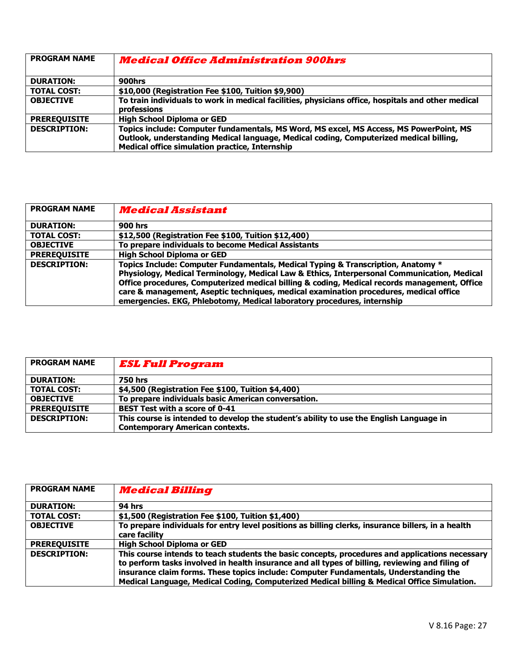| <b>PROGRAM NAME</b> | <i><b>Medical Office Administration 900hrs</b></i>                                                                                                                                                                                 |
|---------------------|------------------------------------------------------------------------------------------------------------------------------------------------------------------------------------------------------------------------------------|
| <b>DURATION:</b>    | 900hrs                                                                                                                                                                                                                             |
| <b>TOTAL COST:</b>  | \$10,000 (Registration Fee \$100, Tuition \$9,900)                                                                                                                                                                                 |
| <b>OBJECTIVE</b>    | To train individuals to work in medical facilities, physicians office, hospitals and other medical<br>professions                                                                                                                  |
| <b>PREREOUISITE</b> | <b>High School Diploma or GED</b>                                                                                                                                                                                                  |
| <b>DESCRIPTION:</b> | Topics include: Computer fundamentals, MS Word, MS excel, MS Access, MS PowerPoint, MS<br>Outlook, understanding Medical language, Medical coding, Computerized medical billing,<br>Medical office simulation practice, Internship |

| <b>PROGRAM NAME</b> | <b>Medical Assistant</b>                                                                                                                                                                                                                                                                                                                                                                                                                            |
|---------------------|-----------------------------------------------------------------------------------------------------------------------------------------------------------------------------------------------------------------------------------------------------------------------------------------------------------------------------------------------------------------------------------------------------------------------------------------------------|
| <b>DURATION:</b>    | <b>900 hrs</b>                                                                                                                                                                                                                                                                                                                                                                                                                                      |
| <b>TOTAL COST:</b>  | \$12,500 (Registration Fee \$100, Tuition \$12,400)                                                                                                                                                                                                                                                                                                                                                                                                 |
| <b>OBJECTIVE</b>    | To prepare individuals to become Medical Assistants                                                                                                                                                                                                                                                                                                                                                                                                 |
| <b>PREREQUISITE</b> | <b>High School Diploma or GED</b>                                                                                                                                                                                                                                                                                                                                                                                                                   |
| <b>DESCRIPTION:</b> | Topics Include: Computer Fundamentals, Medical Typing & Transcription, Anatomy *<br>Physiology, Medical Terminology, Medical Law & Ethics, Interpersonal Communication, Medical<br>Office procedures, Computerized medical billing & coding, Medical records management, Office<br>care & management, Aseptic techniques, medical examination procedures, medical office<br>emergencies. EKG, Phlebotomy, Medical laboratory procedures, internship |

| <b>PROGRAM NAME</b> | <b>ESL Full Program</b>                                                                 |
|---------------------|-----------------------------------------------------------------------------------------|
| <b>DURATION:</b>    | <b>750 hrs</b>                                                                          |
| <b>TOTAL COST:</b>  | \$4,500 (Registration Fee \$100, Tuition \$4,400)                                       |
| <b>OBJECTIVE</b>    | To prepare individuals basic American conversation.                                     |
| <b>PREREOUISITE</b> | <b>BEST Test with a score of 0-41</b>                                                   |
| <b>DESCRIPTION:</b> | This course is intended to develop the student's ability to use the English Language in |
|                     | <b>Contemporary American contexts.</b>                                                  |

| <b>PROGRAM NAME</b> | <b>Medical Billing</b>                                                                                                                                                                                                                                                                                                                                                                     |
|---------------------|--------------------------------------------------------------------------------------------------------------------------------------------------------------------------------------------------------------------------------------------------------------------------------------------------------------------------------------------------------------------------------------------|
| <b>DURATION:</b>    | <b>94 hrs</b>                                                                                                                                                                                                                                                                                                                                                                              |
| <b>TOTAL COST:</b>  | \$1,500 (Registration Fee \$100, Tuition \$1,400)                                                                                                                                                                                                                                                                                                                                          |
| <b>OBJECTIVE</b>    | To prepare individuals for entry level positions as billing clerks, insurance billers, in a health<br>care facility                                                                                                                                                                                                                                                                        |
| <b>PREREOUISITE</b> | <b>High School Diploma or GED</b>                                                                                                                                                                                                                                                                                                                                                          |
| <b>DESCRIPTION:</b> | This course intends to teach students the basic concepts, procedures and applications necessary<br>to perform tasks involved in health insurance and all types of billing, reviewing and filing of<br>insurance claim forms. These topics include: Computer Fundamentals, Understanding the<br>Medical Language, Medical Coding, Computerized Medical billing & Medical Office Simulation. |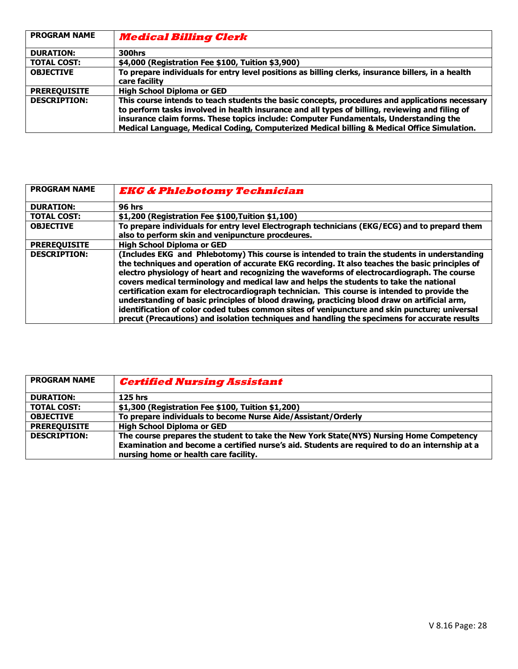| <b>PROGRAM NAME</b> | <b>Medical Billing Clerk</b>                                                                                                                                                                                                                                                                                                                                                               |
|---------------------|--------------------------------------------------------------------------------------------------------------------------------------------------------------------------------------------------------------------------------------------------------------------------------------------------------------------------------------------------------------------------------------------|
| <b>DURATION:</b>    | 300hrs                                                                                                                                                                                                                                                                                                                                                                                     |
| <b>TOTAL COST:</b>  | \$4,000 (Registration Fee \$100, Tuition \$3,900)                                                                                                                                                                                                                                                                                                                                          |
| <b>OBJECTIVE</b>    | To prepare individuals for entry level positions as billing clerks, insurance billers, in a health<br>care facility                                                                                                                                                                                                                                                                        |
| <b>PREREOUISITE</b> | <b>High School Diploma or GED</b>                                                                                                                                                                                                                                                                                                                                                          |
| <b>DESCRIPTION:</b> | This course intends to teach students the basic concepts, procedures and applications necessary<br>to perform tasks involved in health insurance and all types of billing, reviewing and filing of<br>insurance claim forms. These topics include: Computer Fundamentals, Understanding the<br>Medical Language, Medical Coding, Computerized Medical billing & Medical Office Simulation. |

| <b>PROGRAM NAME</b> | <b>EKG &amp; Phlebotomy Technician</b>                                                                                                                                                                                                                                                                                                                                                                                                                                                                                                                                                                                                                                                                                                                                                     |
|---------------------|--------------------------------------------------------------------------------------------------------------------------------------------------------------------------------------------------------------------------------------------------------------------------------------------------------------------------------------------------------------------------------------------------------------------------------------------------------------------------------------------------------------------------------------------------------------------------------------------------------------------------------------------------------------------------------------------------------------------------------------------------------------------------------------------|
| <b>DURATION:</b>    | <b>96 hrs</b>                                                                                                                                                                                                                                                                                                                                                                                                                                                                                                                                                                                                                                                                                                                                                                              |
| <b>TOTAL COST:</b>  | \$1,200 (Registration Fee \$100, Tuition \$1,100)                                                                                                                                                                                                                                                                                                                                                                                                                                                                                                                                                                                                                                                                                                                                          |
| <b>OBJECTIVE</b>    | To prepare individuals for entry level Electrograph technicians (EKG/ECG) and to prepard them<br>also to perform skin and venipuncture procdeures.                                                                                                                                                                                                                                                                                                                                                                                                                                                                                                                                                                                                                                         |
| <b>PREREQUISITE</b> | <b>High School Diploma or GED</b>                                                                                                                                                                                                                                                                                                                                                                                                                                                                                                                                                                                                                                                                                                                                                          |
| <b>DESCRIPTION:</b> | (Includes EKG and Phlebotomy) This course is intended to train the students in understanding<br>the techniques and operation of accurate EKG recording. It also teaches the basic principles of<br>electro physiology of heart and recognizing the waveforms of electrocardiograph. The course<br>covers medical terminology and medical law and helps the students to take the national<br>certification exam for electrocardiograph technician. This course is intended to provide the<br>understanding of basic principles of blood drawing, practicing blood draw on artificial arm,<br>identification of color coded tubes common sites of venipuncture and skin puncture; universal<br>precut (Precautions) and isolation techniques and handling the specimens for accurate results |

| <b>PROGRAM NAME</b> | <b>Certified Nursing Assistant</b>                                                                                                      |
|---------------------|-----------------------------------------------------------------------------------------------------------------------------------------|
| <b>DURATION:</b>    | $125$ hrs                                                                                                                               |
| <b>TOTAL COST:</b>  | \$1,300 (Registration Fee \$100, Tuition \$1,200)                                                                                       |
| <b>OBJECTIVE</b>    | To prepare individuals to become Nurse Aide/Assistant/Orderly                                                                           |
| <b>PREREQUISITE</b> | <b>High School Diploma or GED</b>                                                                                                       |
| <b>DESCRIPTION:</b> | The course prepares the student to take the New York State(NYS) Nursing Home Competency                                                 |
|                     | Examination and become a certified nurse's aid. Students are required to do an internship at a<br>nursing home or health care facility. |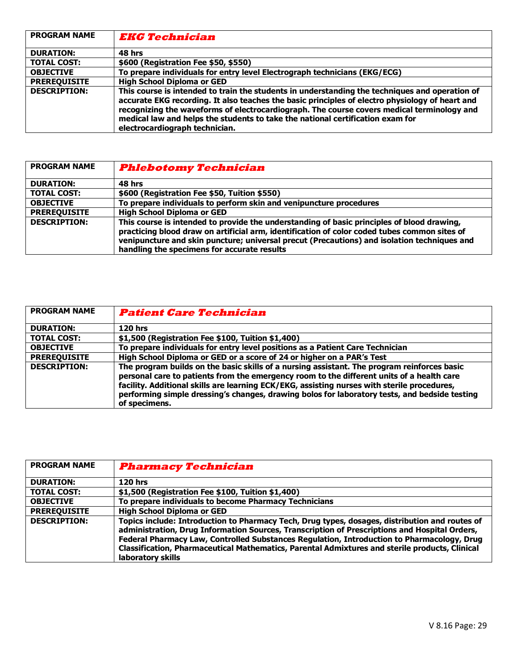| <b>PROGRAM NAME</b> | <i><b>EKG Technician</b></i>                                                                                                                                                                                                                                                                                                                                                                                        |
|---------------------|---------------------------------------------------------------------------------------------------------------------------------------------------------------------------------------------------------------------------------------------------------------------------------------------------------------------------------------------------------------------------------------------------------------------|
| <b>DURATION:</b>    | 48 hrs                                                                                                                                                                                                                                                                                                                                                                                                              |
| <b>TOTAL COST:</b>  | \$600 (Registration Fee \$50, \$550)                                                                                                                                                                                                                                                                                                                                                                                |
| <b>OBJECTIVE</b>    | To prepare individuals for entry level Electrograph technicians (EKG/ECG)                                                                                                                                                                                                                                                                                                                                           |
| <b>PREREQUISITE</b> | <b>High School Diploma or GED</b>                                                                                                                                                                                                                                                                                                                                                                                   |
| <b>DESCRIPTION:</b> | This course is intended to train the students in understanding the techniques and operation of<br>accurate EKG recording. It also teaches the basic principles of electro physiology of heart and<br>recognizing the waveforms of electrocardiograph. The course covers medical terminology and<br>medical law and helps the students to take the national certification exam for<br>electrocardiograph technician. |

| <b>PROGRAM NAME</b> | <b>Phlebotomy Technician</b>                                                                                                                                                                                                                                                                                                             |
|---------------------|------------------------------------------------------------------------------------------------------------------------------------------------------------------------------------------------------------------------------------------------------------------------------------------------------------------------------------------|
| <b>DURATION:</b>    | 48 hrs                                                                                                                                                                                                                                                                                                                                   |
| <b>TOTAL COST:</b>  | \$600 (Registration Fee \$50, Tuition \$550)                                                                                                                                                                                                                                                                                             |
| <b>OBJECTIVE</b>    | To prepare individuals to perform skin and venipuncture procedures                                                                                                                                                                                                                                                                       |
| <b>PREREQUISITE</b> | <b>High School Diploma or GED</b>                                                                                                                                                                                                                                                                                                        |
| <b>DESCRIPTION:</b> | This course is intended to provide the understanding of basic principles of blood drawing,<br>practicing blood draw on artificial arm, identification of color coded tubes common sites of<br>venipuncture and skin puncture; universal precut (Precautions) and isolation techniques and<br>handling the specimens for accurate results |

| <b>PROGRAM NAME</b> | <b>Patient Care Technician</b>                                                                                                                                                                                                                                                                                                                                                                            |
|---------------------|-----------------------------------------------------------------------------------------------------------------------------------------------------------------------------------------------------------------------------------------------------------------------------------------------------------------------------------------------------------------------------------------------------------|
| <b>DURATION:</b>    | <b>120 hrs</b>                                                                                                                                                                                                                                                                                                                                                                                            |
| <b>TOTAL COST:</b>  | \$1,500 (Registration Fee \$100, Tuition \$1,400)                                                                                                                                                                                                                                                                                                                                                         |
| <b>OBJECTIVE</b>    | To prepare individuals for entry level positions as a Patient Care Technician                                                                                                                                                                                                                                                                                                                             |
| <b>PREREQUISITE</b> | High School Diploma or GED or a score of 24 or higher on a PAR's Test                                                                                                                                                                                                                                                                                                                                     |
| <b>DESCRIPTION:</b> | The program builds on the basic skills of a nursing assistant. The program reinforces basic<br>personal care to patients from the emergency room to the different units of a health care<br>facility. Additional skills are learning ECK/EKG, assisting nurses with sterile procedures,<br>performing simple dressing's changes, drawing bolos for laboratory tests, and bedside testing<br>of specimens. |

| <b>PROGRAM NAME</b> | <b>Pharmacy Technician</b>                                                                                                                                                                                                                                                                                                                                                                                           |
|---------------------|----------------------------------------------------------------------------------------------------------------------------------------------------------------------------------------------------------------------------------------------------------------------------------------------------------------------------------------------------------------------------------------------------------------------|
| <b>DURATION:</b>    | $120$ hrs                                                                                                                                                                                                                                                                                                                                                                                                            |
| <b>TOTAL COST:</b>  | \$1,500 (Registration Fee \$100, Tuition \$1,400)                                                                                                                                                                                                                                                                                                                                                                    |
| <b>OBJECTIVE</b>    | To prepare individuals to become Pharmacy Technicians                                                                                                                                                                                                                                                                                                                                                                |
| <b>PREREOUISITE</b> | <b>High School Diploma or GED</b>                                                                                                                                                                                                                                                                                                                                                                                    |
| <b>DESCRIPTION:</b> | Topics include: Introduction to Pharmacy Tech, Drug types, dosages, distribution and routes of<br>administration, Drug Information Sources, Transcription of Prescriptions and Hospital Orders,<br>Federal Pharmacy Law, Controlled Substances Regulation, Introduction to Pharmacology, Drug<br>Classification, Pharmaceutical Mathematics, Parental Admixtures and sterile products, Clinical<br>laboratory skills |